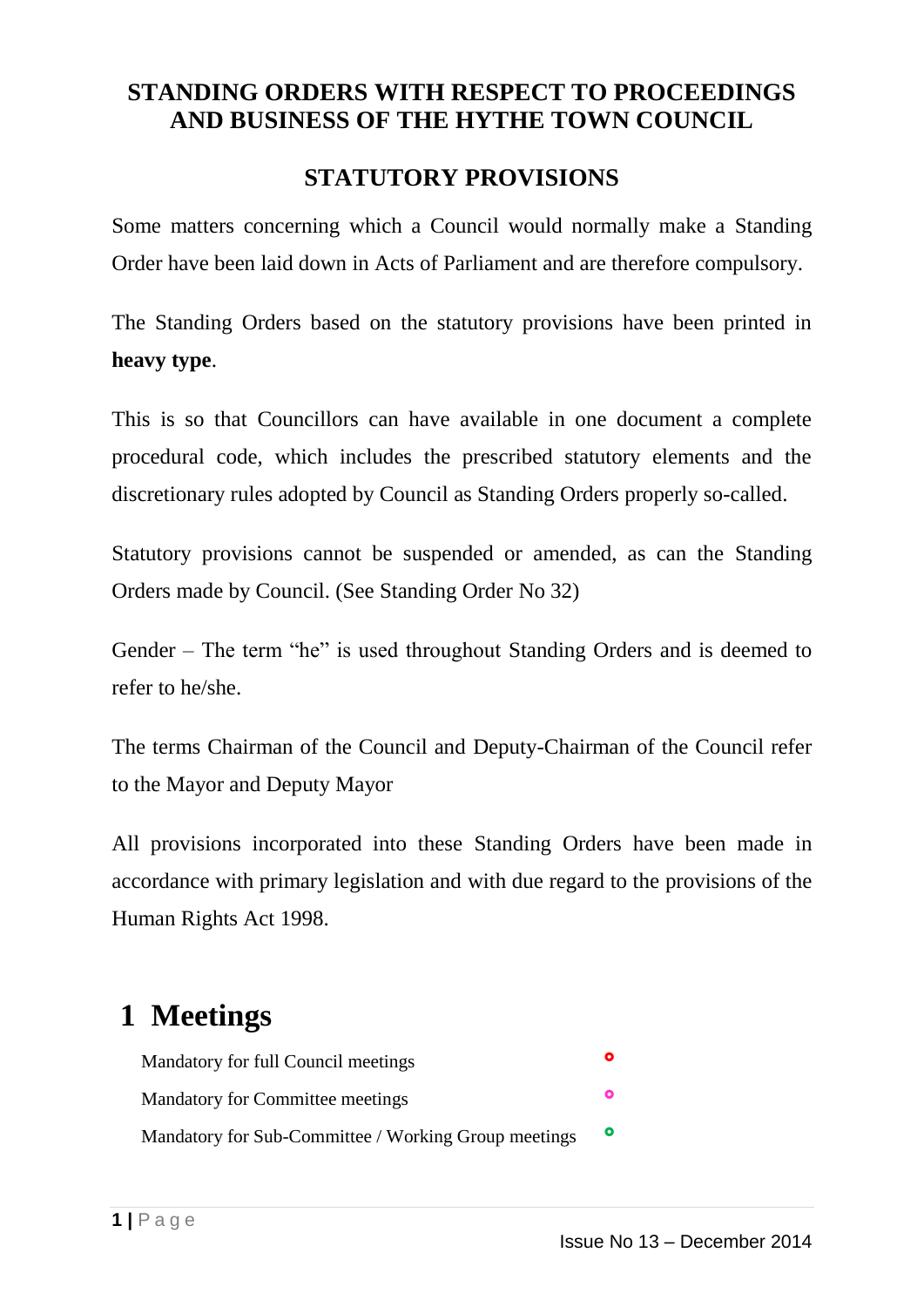### **STANDING ORDERS WITH RESPECT TO PROCEEDINGS AND BUSINESS OF THE HYTHE TOWN COUNCIL**

### **STATUTORY PROVISIONS**

Some matters concerning which a Council would normally make a Standing Order have been laid down in Acts of Parliament and are therefore compulsory.

The Standing Orders based on the statutory provisions have been printed in **heavy type**.

This is so that Councillors can have available in one document a complete procedural code, which includes the prescribed statutory elements and the discretionary rules adopted by Council as Standing Orders properly so-called.

Statutory provisions cannot be suspended or amended, as can the Standing Orders made by Council. (See Standing Order No 32)

Gender – The term "he" is used throughout Standing Orders and is deemed to refer to he/she.

The terms Chairman of the Council and Deputy-Chairman of the Council refer to the Mayor and Deputy Mayor

All provisions incorporated into these Standing Orders have been made in accordance with primary legislation and with due regard to the provisions of the Human Rights Act 1998.

# **1 Meetings**

| Mandatory for full Council meetings                  | O         |
|------------------------------------------------------|-----------|
| <b>Mandatory for Committee meetings</b>              | O         |
| Mandatory for Sub-Committee / Working Group meetings | $\bullet$ |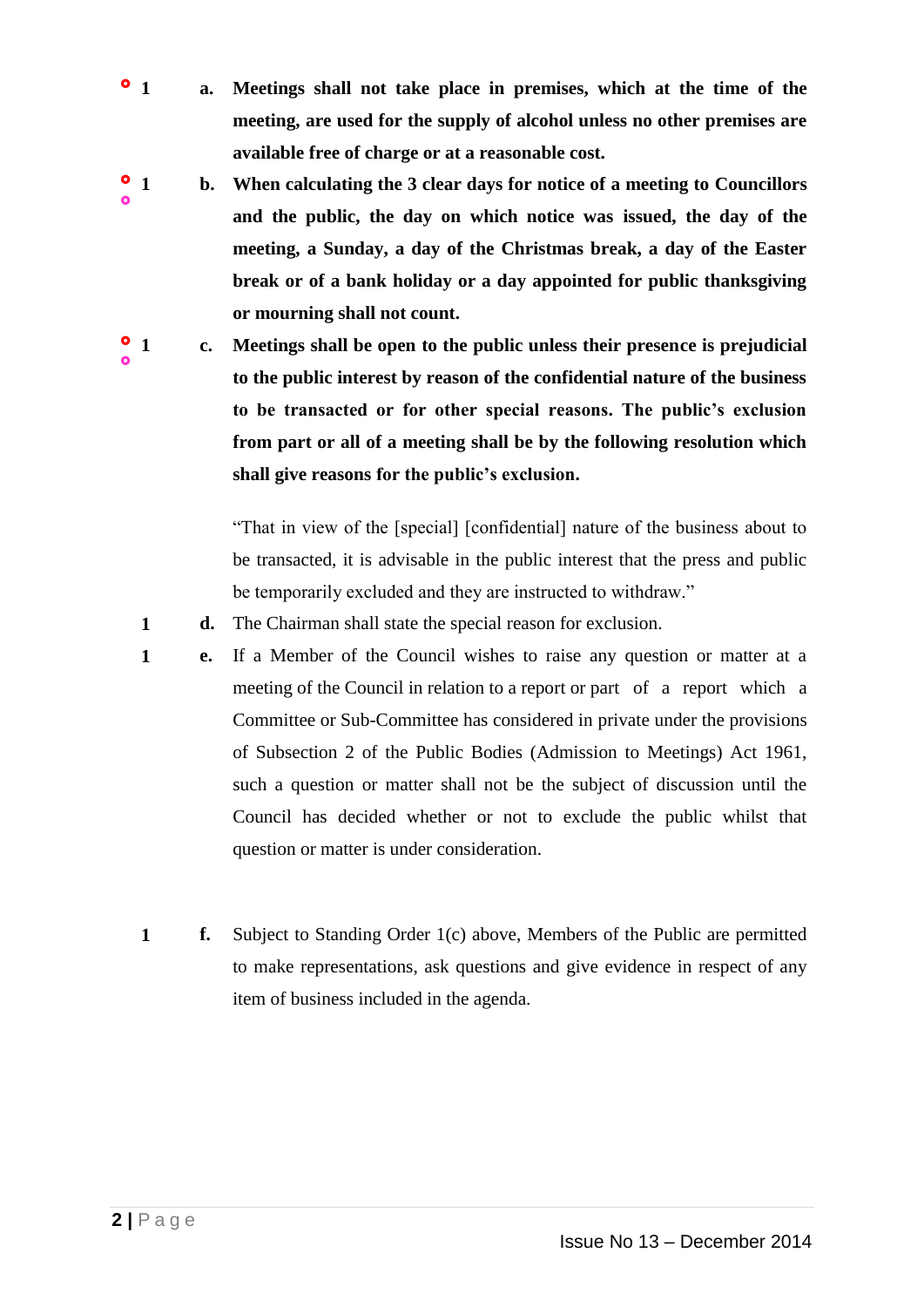- **1 a. Meetings shall not take place in premises, which at the time of the meeting, are used for the supply of alcohol unless no other premises are available free of charge or at a reasonable cost.**
- $\bullet$  $\bullet$ **1 b. When calculating the 3 clear days for notice of a meeting to Councillors and the public, the day on which notice was issued, the day of the meeting, a Sunday, a day of the Christmas break, a day of the Easter break or of a bank holiday or a day appointed for public thanksgiving or mourning shall not count.**

 $^{\circ}$  1  $\bullet$ **1 c. Meetings shall be open to the public unless their presence is prejudicial to the public interest by reason of the confidential nature of the business to be transacted or for other special reasons. The public's exclusion from part or all of a meeting shall be by the following resolution which shall give reasons for the public's exclusion.**

> "That in view of the [special] [confidential] nature of the business about to be transacted, it is advisable in the public interest that the press and public be temporarily excluded and they are instructed to withdraw."

- **1 d.** The Chairman shall state the special reason for exclusion.
- **1 e.** If a Member of the Council wishes to raise any question or matter at a meeting of the Council in relation to a report or part of a report which a Committee or Sub-Committee has considered in private under the provisions of Subsection 2 of the Public Bodies (Admission to Meetings) Act 1961, such a question or matter shall not be the subject of discussion until the Council has decided whether or not to exclude the public whilst that question or matter is under consideration.
- **1 f.** Subject to Standing Order 1(c) above, Members of the Public are permitted to make representations, ask questions and give evidence in respect of any item of business included in the agenda.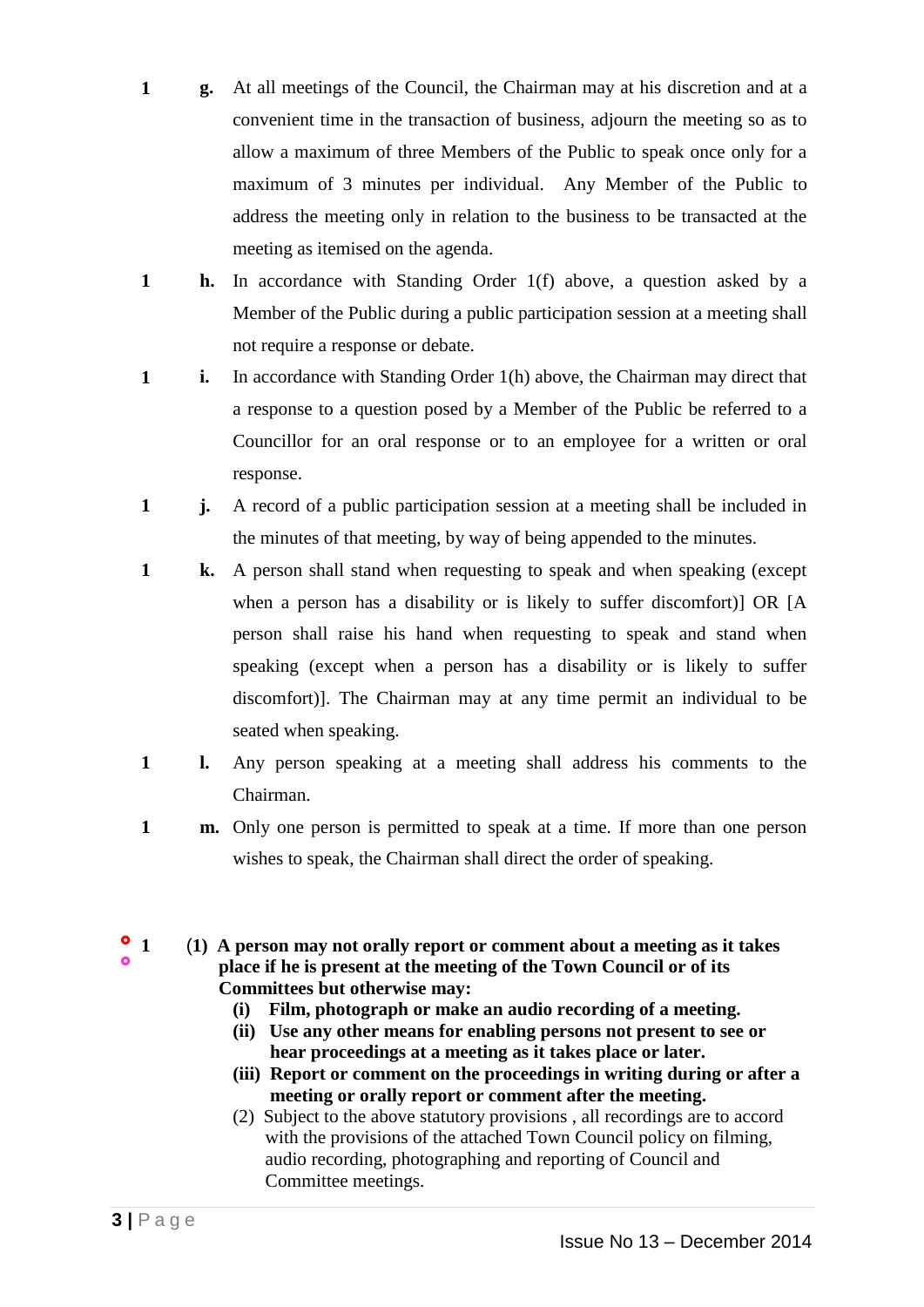- **1 g.** At all meetings of the Council, the Chairman may at his discretion and at a convenient time in the transaction of business, adjourn the meeting so as to allow a maximum of three Members of the Public to speak once only for a maximum of 3 minutes per individual. Any Member of the Public to address the meeting only in relation to the business to be transacted at the meeting as itemised on the agenda.
- **1 h.** In accordance with Standing Order 1(f) above, a question asked by a Member of the Public during a public participation session at a meeting shall not require a response or debate.
- **1 i.** In accordance with Standing Order 1(h) above, the Chairman may direct that a response to a question posed by a Member of the Public be referred to a Councillor for an oral response or to an employee for a written or oral response.
- **1 j.** A record of a public participation session at a meeting shall be included in the minutes of that meeting, by way of being appended to the minutes.
- **1 k.** A person shall stand when requesting to speak and when speaking (except when a person has a disability or is likely to suffer discomfort)] OR [A person shall raise his hand when requesting to speak and stand when speaking (except when a person has a disability or is likely to suffer discomfort)]. The Chairman may at any time permit an individual to be seated when speaking.
- **1 l.** Any person speaking at a meeting shall address his comments to the Chairman.
- **1 m.** Only one person is permitted to speak at a time. If more than one person wishes to speak, the Chairman shall direct the order of speaking.
- $^{\circ}$  1  $\bullet$ **1** (**1) A person may not orally report or comment about a meeting as it takes place if he is present at the meeting of the Town Council or of its Committees but otherwise may:**
	- **(i) Film, photograph or make an audio recording of a meeting.**
	- **(ii) Use any other means for enabling persons not present to see or hear proceedings at a meeting as it takes place or later.**
	- **(iii) Report or comment on the proceedings in writing during or after a meeting or orally report or comment after the meeting.**
	- (2) Subject to the above statutory provisions , all recordings are to accord with the provisions of the attached Town Council policy on filming, audio recording, photographing and reporting of Council and Committee meetings.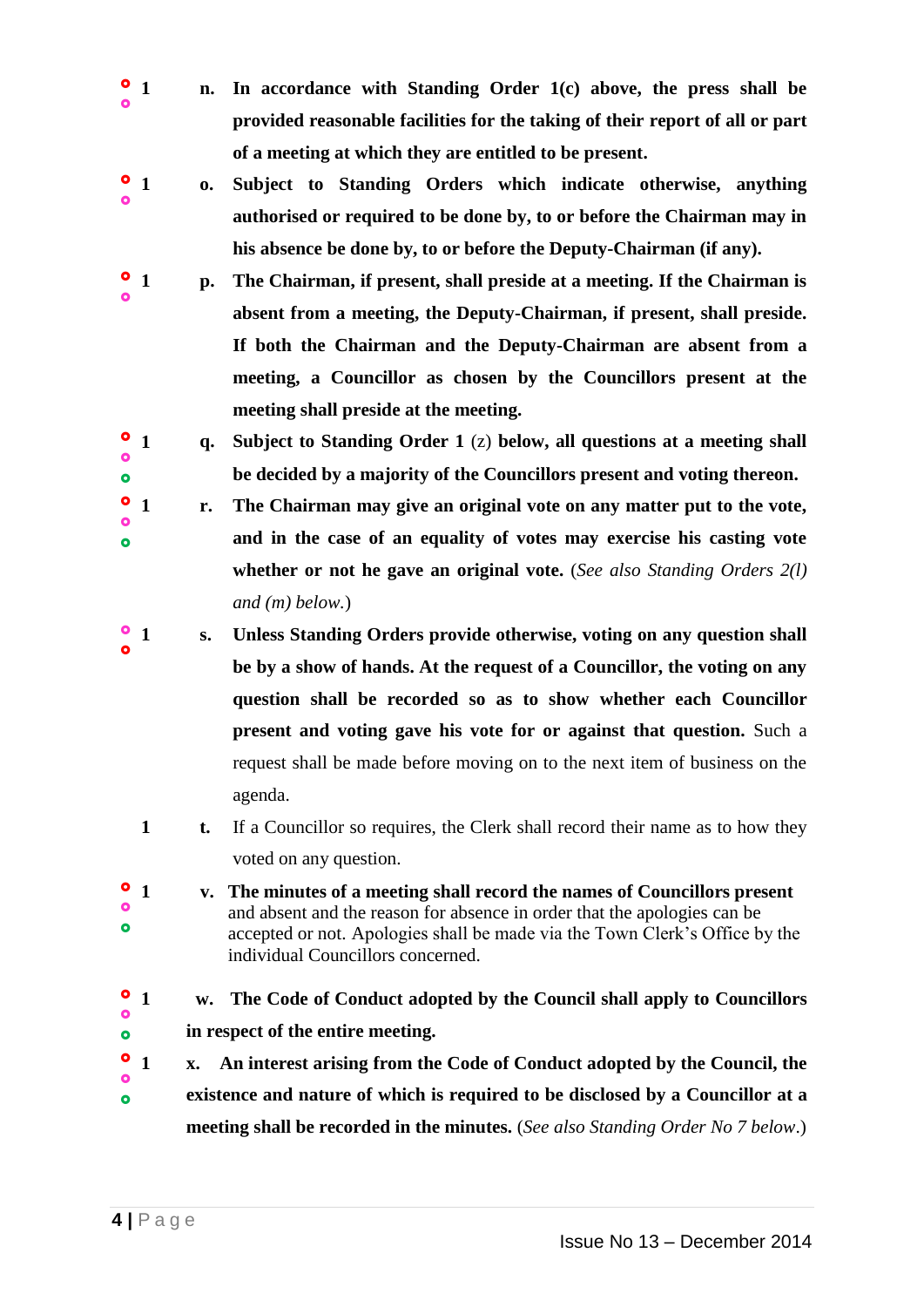- $^{\circ}$  1 ò **1 n. In accordance with Standing Order 1(c) above, the press shall be provided reasonable facilities for the taking of their report of all or part of a meeting at which they are entitled to be present.**
- $\bullet$  $\bullet$ **1 o. Subject to Standing Orders which indicate otherwise, anything authorised or required to be done by, to or before the Chairman may in his absence be done by, to or before the Deputy-Chairman (if any).**
- $\bullet$  $\bullet$ **1 p. The Chairman, if present, shall preside at a meeting. If the Chairman is absent from a meeting, the Deputy-Chairman, if present, shall preside. If both the Chairman and the Deputy-Chairman are absent from a meeting, a Councillor as chosen by the Councillors present at the meeting shall preside at the meeting.**
- $\bullet$ Ó  $\bullet$ **1 q. Subject to Standing Order 1** (z) **below, all questions at a meeting shall be decided by a majority of the Councillors present and voting thereon.**
- $^{\circ}$  1  $\mathbf{C}$  $\bullet$ **1 r. The Chairman may give an original vote on any matter put to the vote, and in the case of an equality of votes may exercise his casting vote whether or not he gave an original vote.** (*See also Standing Orders 2(l) and (m) below.*)
- $\bullet$  $\bullet$ **1 s. Unless Standing Orders provide otherwise, voting on any question shall be by a show of hands. At the request of a Councillor, the voting on any question shall be recorded so as to show whether each Councillor present and voting gave his vote for or against that question.** Such a request shall be made before moving on to the next item of business on the agenda.
	- **1 t.** If a Councillor so requires, the Clerk shall record their name as to how they voted on any question.
- $\bullet$  $\bullet$  $\bullet$ **1 v. The minutes of a meeting shall record the names of Councillors present** and absent and the reason for absence in order that the apologies can be accepted or not. Apologies shall be made via the Town Clerk's Office by the individual Councillors concerned.
- $^{\circ}$  1  $\overline{a}$  $\bullet$ **1 w. The Code of Conduct adopted by the Council shall apply to Councillors in respect of the entire meeting.**  $^{\circ}$  1 **1 x. An interest arising from the Code of Conduct adopted by the Council, the**
- $\bullet$  $\bullet$ **existence and nature of which is required to be disclosed by a Councillor at a meeting shall be recorded in the minutes.** (*See also Standing Order No 7 below*.)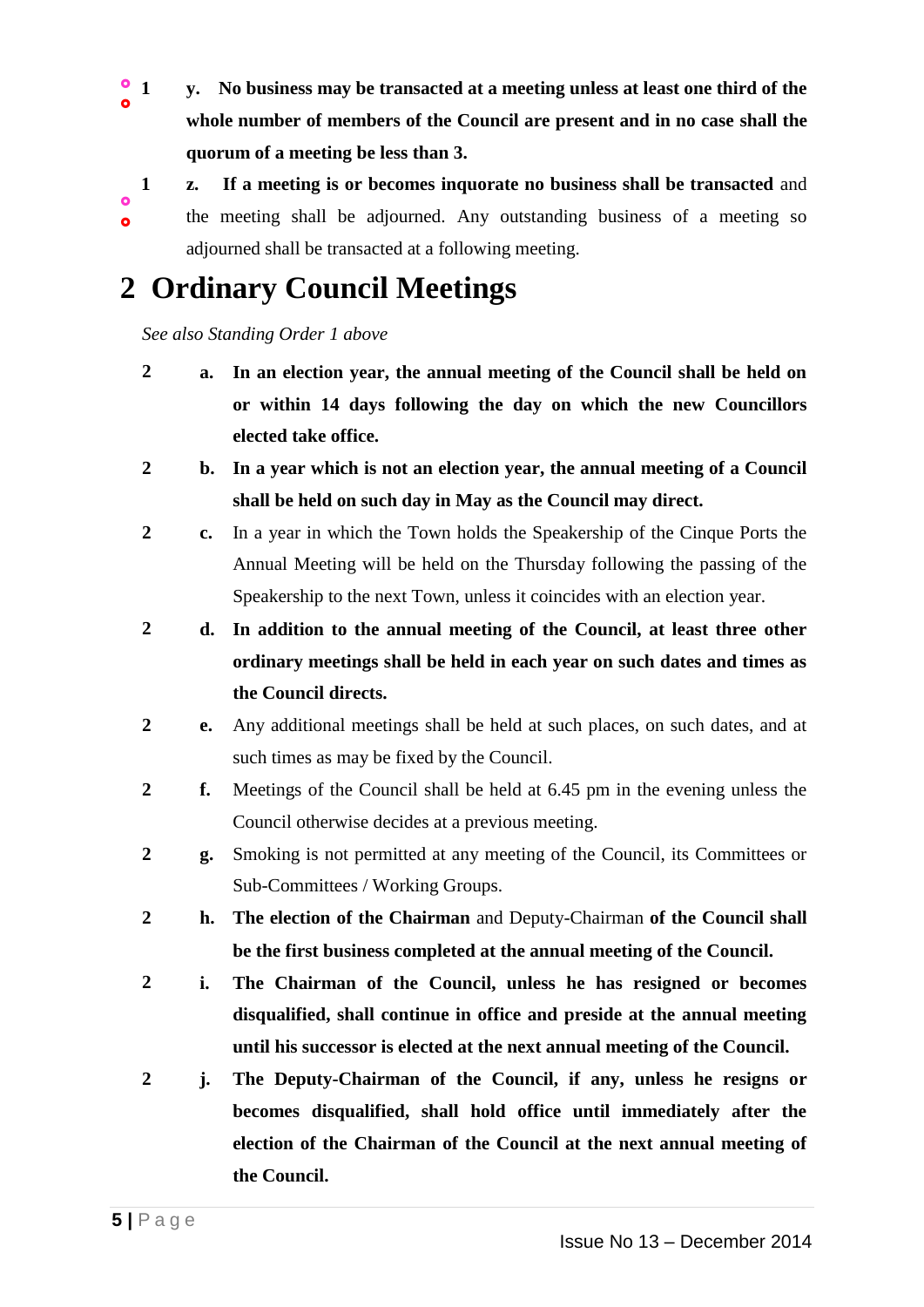- $\bullet$  $\ddot{\mathbf{a}}$ **1 y. No business may be transacted at a meeting unless at least one third of the whole number of members of the Council are present and in no case shall the quorum of a meeting be less than 3.**
- $\bullet$  $\ddot{\mathbf{o}}$ **1 z. If a meeting is or becomes inquorate no business shall be transacted** and the meeting shall be adjourned. Any outstanding business of a meeting so adjourned shall be transacted at a following meeting.

# **2 Ordinary Council Meetings**

*See also Standing Order 1 above*

- **2 a. In an election year, the annual meeting of the Council shall be held on or within 14 days following the day on which the new Councillors elected take office.**
- **2 b. In a year which is not an election year, the annual meeting of a Council shall be held on such day in May as the Council may direct.**
- **2 c.** In a year in which the Town holds the Speakership of the Cinque Ports the Annual Meeting will be held on the Thursday following the passing of the Speakership to the next Town, unless it coincides with an election year.

**2 d. In addition to the annual meeting of the Council, at least three other ordinary meetings shall be held in each year on such dates and times as the Council directs.**

- **2 e.** Any additional meetings shall be held at such places, on such dates, and at such times as may be fixed by the Council.
- **2 f.** Meetings of the Council shall be held at 6.45 pm in the evening unless the Council otherwise decides at a previous meeting.
- **2 g.** Smoking is not permitted at any meeting of the Council, its Committees or Sub-Committees / Working Groups.
- **2 h. The election of the Chairman** and Deputy-Chairman **of the Council shall be the first business completed at the annual meeting of the Council.**
- **2 i. The Chairman of the Council, unless he has resigned or becomes disqualified, shall continue in office and preside at the annual meeting until his successor is elected at the next annual meeting of the Council.**
- **2 j. The Deputy-Chairman of the Council, if any, unless he resigns or becomes disqualified, shall hold office until immediately after the election of the Chairman of the Council at the next annual meeting of the Council.**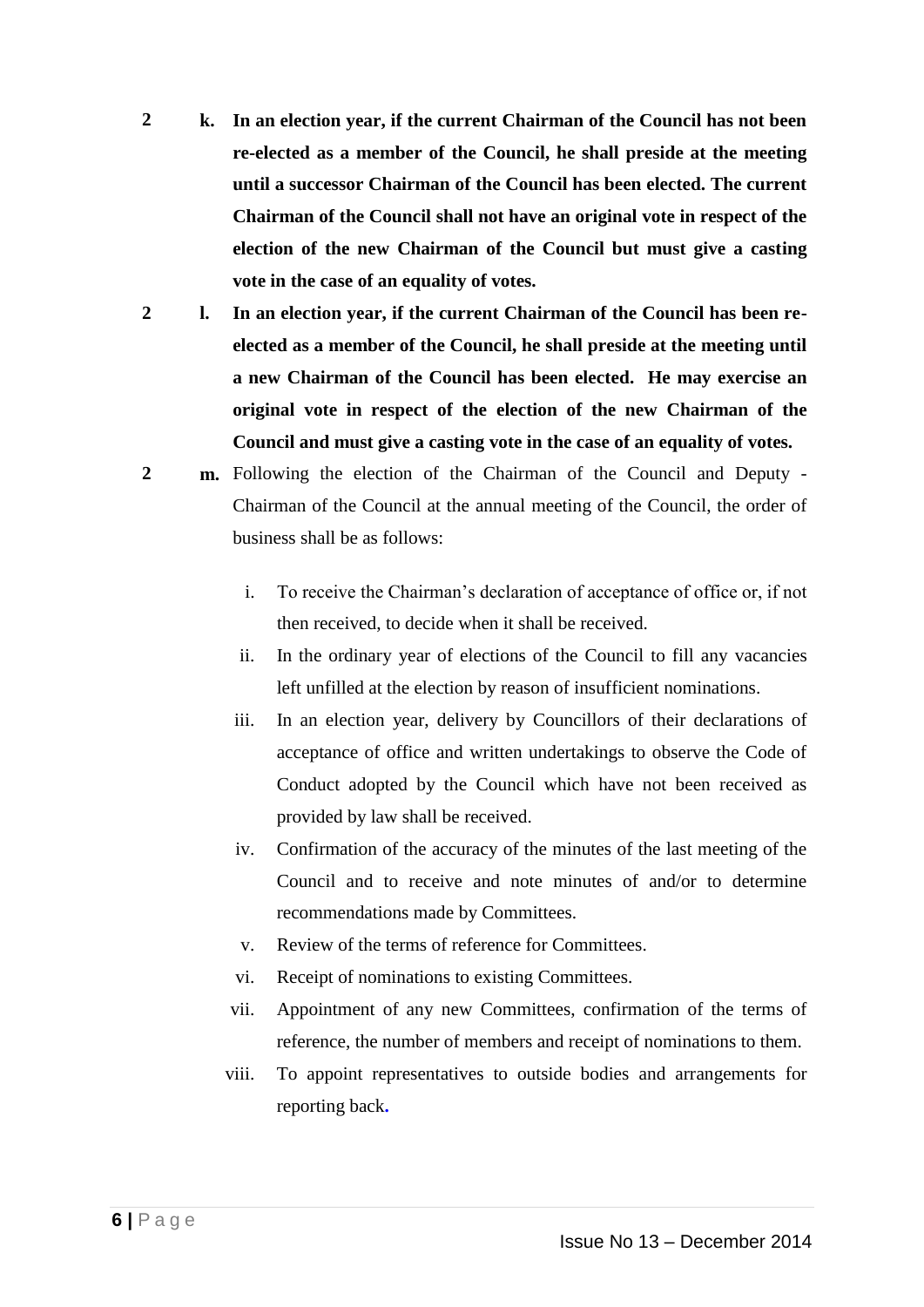- **2 k. In an election year, if the current Chairman of the Council has not been re-elected as a member of the Council, he shall preside at the meeting until a successor Chairman of the Council has been elected. The current Chairman of the Council shall not have an original vote in respect of the election of the new Chairman of the Council but must give a casting vote in the case of an equality of votes.**
- **2 l. In an election year, if the current Chairman of the Council has been reelected as a member of the Council, he shall preside at the meeting until a new Chairman of the Council has been elected. He may exercise an original vote in respect of the election of the new Chairman of the Council and must give a casting vote in the case of an equality of votes.**
- **2 m.** Following the election of the Chairman of the Council and Deputy Chairman of the Council at the annual meeting of the Council, the order of business shall be as follows:
	- i. To receive the Chairman's declaration of acceptance of office or, if not then received, to decide when it shall be received.
	- ii. In the ordinary year of elections of the Council to fill any vacancies left unfilled at the election by reason of insufficient nominations.
	- iii. In an election year, delivery by Councillors of their declarations of acceptance of office and written undertakings to observe the Code of Conduct adopted by the Council which have not been received as provided by law shall be received.
	- iv. Confirmation of the accuracy of the minutes of the last meeting of the Council and to receive and note minutes of and/or to determine recommendations made by Committees.
	- v. Review of the terms of reference for Committees.
	- vi. Receipt of nominations to existing Committees.
	- vii. Appointment of any new Committees, confirmation of the terms of reference, the number of members and receipt of nominations to them.
	- viii. To appoint representatives to outside bodies and arrangements for reporting back**.**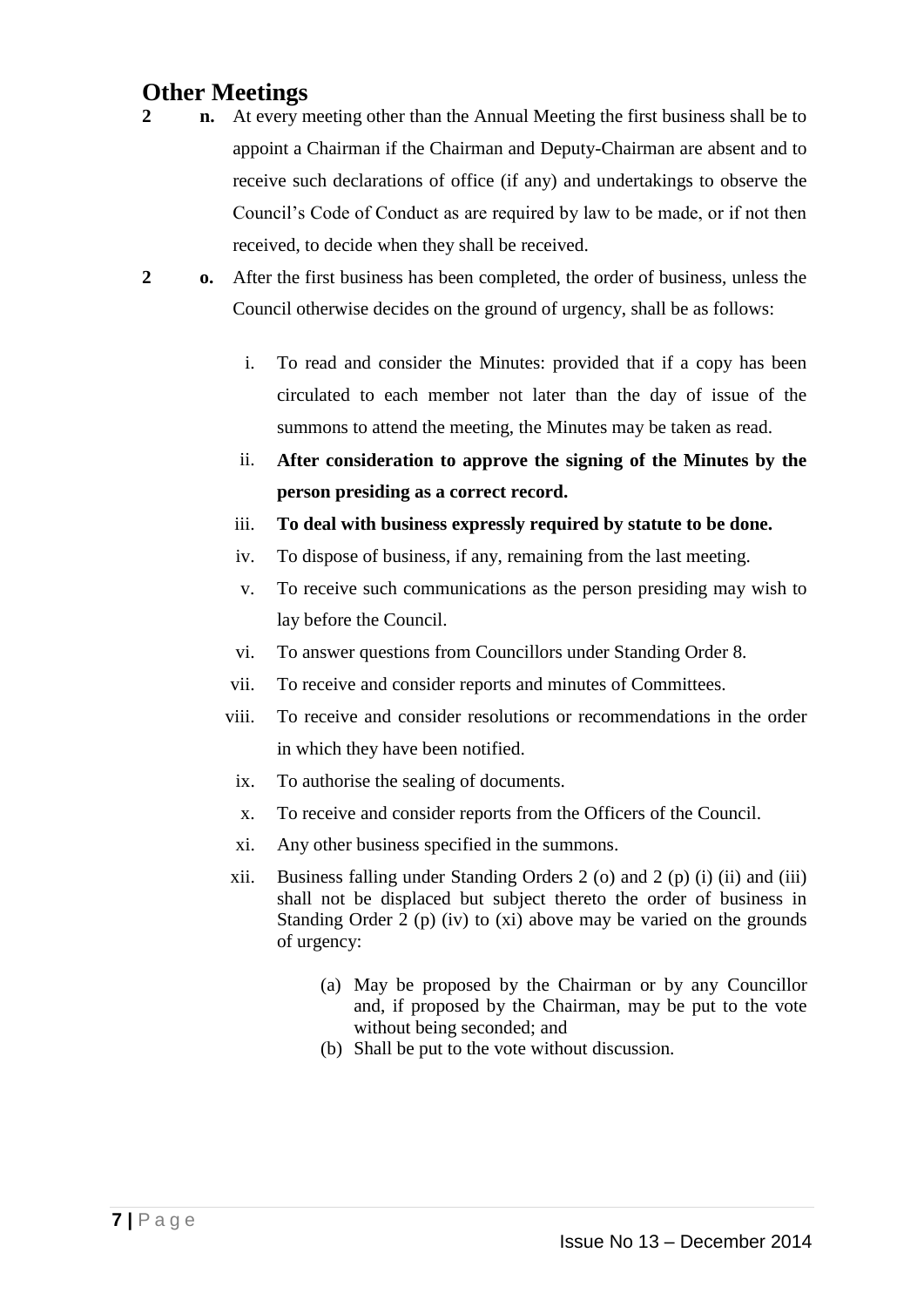### **Other Meetings**

- **2 n.** At every meeting other than the Annual Meeting the first business shall be to appoint a Chairman if the Chairman and Deputy-Chairman are absent and to receive such declarations of office (if any) and undertakings to observe the Council's Code of Conduct as are required by law to be made, or if not then received, to decide when they shall be received.
- **2 o.** After the first business has been completed, the order of business, unless the Council otherwise decides on the ground of urgency, shall be as follows:
	- i. To read and consider the Minutes: provided that if a copy has been circulated to each member not later than the day of issue of the summons to attend the meeting, the Minutes may be taken as read.
	- ii. **After consideration to approve the signing of the Minutes by the person presiding as a correct record.**
	- iii. **To deal with business expressly required by statute to be done.**
	- iv. To dispose of business, if any, remaining from the last meeting.
	- v. To receive such communications as the person presiding may wish to lay before the Council.
	- vi. To answer questions from Councillors under Standing Order 8.
	- vii. To receive and consider reports and minutes of Committees.
	- viii. To receive and consider resolutions or recommendations in the order in which they have been notified.
	- ix. To authorise the sealing of documents.
	- x. To receive and consider reports from the Officers of the Council.
	- xi. Any other business specified in the summons.
	- xii. Business falling under Standing Orders 2 (o) and 2 (p) (i) (ii) and (iii) shall not be displaced but subject thereto the order of business in Standing Order 2 (p) (iv) to (xi) above may be varied on the grounds of urgency:
		- (a) May be proposed by the Chairman or by any Councillor and, if proposed by the Chairman, may be put to the vote without being seconded; and
		- (b) Shall be put to the vote without discussion.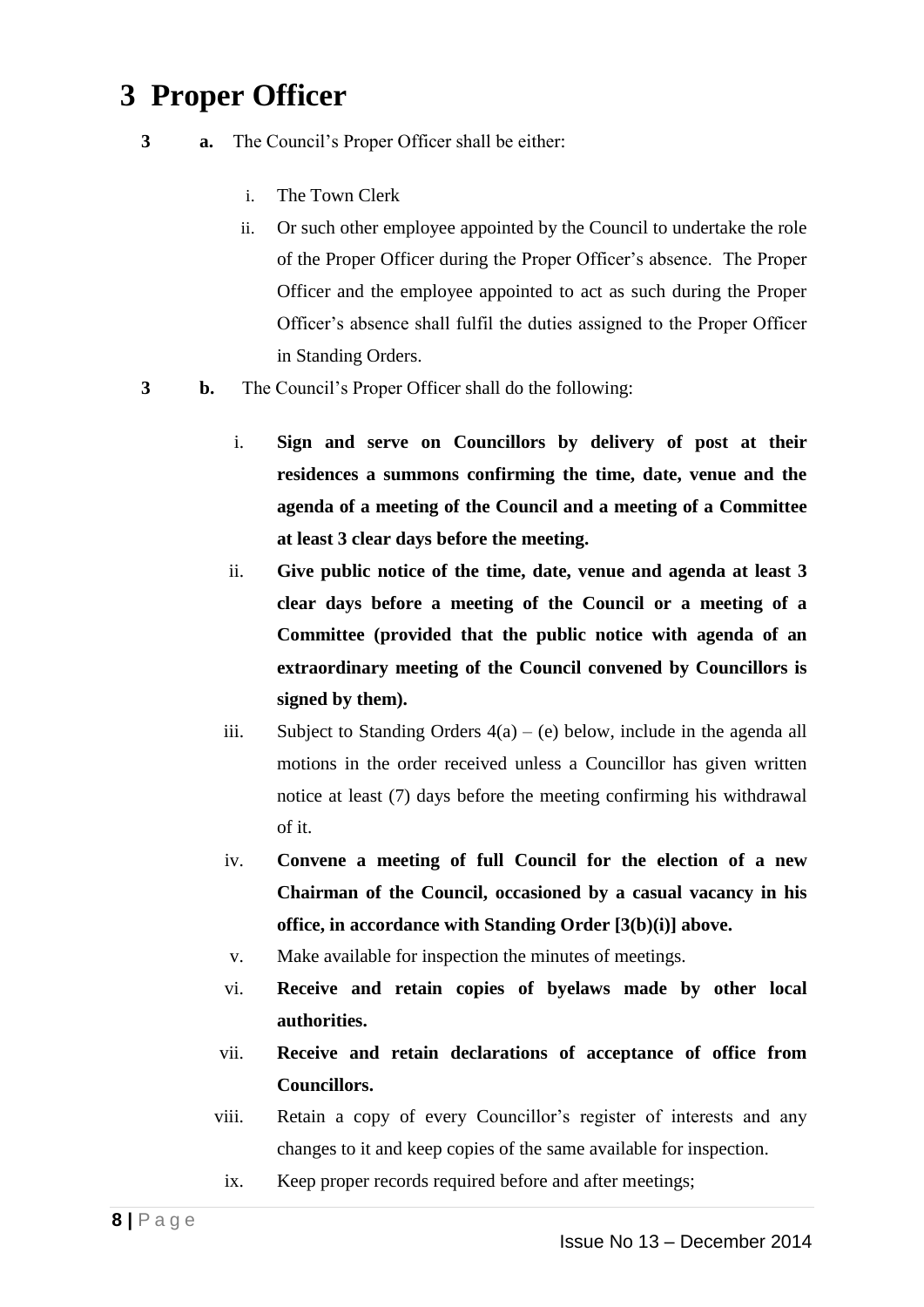# **3 Proper Officer**

- **3 a.** The Council's Proper Officer shall be either:
	- i. The Town Clerk
	- ii. Or such other employee appointed by the Council to undertake the role of the Proper Officer during the Proper Officer's absence. The Proper Officer and the employee appointed to act as such during the Proper Officer's absence shall fulfil the duties assigned to the Proper Officer in Standing Orders.
- **3 b.** The Council's Proper Officer shall do the following:
	- i. **Sign and serve on Councillors by delivery of post at their residences a summons confirming the time, date, venue and the agenda of a meeting of the Council and a meeting of a Committee at least 3 clear days before the meeting.**
	- ii. **Give public notice of the time, date, venue and agenda at least 3 clear days before a meeting of the Council or a meeting of a Committee (provided that the public notice with agenda of an extraordinary meeting of the Council convened by Councillors is signed by them).**
	- iii. Subject to Standing Orders  $4(a) (e)$  below, include in the agenda all motions in the order received unless a Councillor has given written notice at least (7) days before the meeting confirming his withdrawal of it.
	- iv. **Convene a meeting of full Council for the election of a new Chairman of the Council, occasioned by a casual vacancy in his office, in accordance with Standing Order [3(b)(i)] above.**
	- v. Make available for inspection the minutes of meetings.
	- vi. **Receive and retain copies of byelaws made by other local authorities.**
	- vii. **Receive and retain declarations of acceptance of office from Councillors.**
	- viii. Retain a copy of every Councillor's register of interests and any changes to it and keep copies of the same available for inspection.
	- ix. Keep proper records required before and after meetings;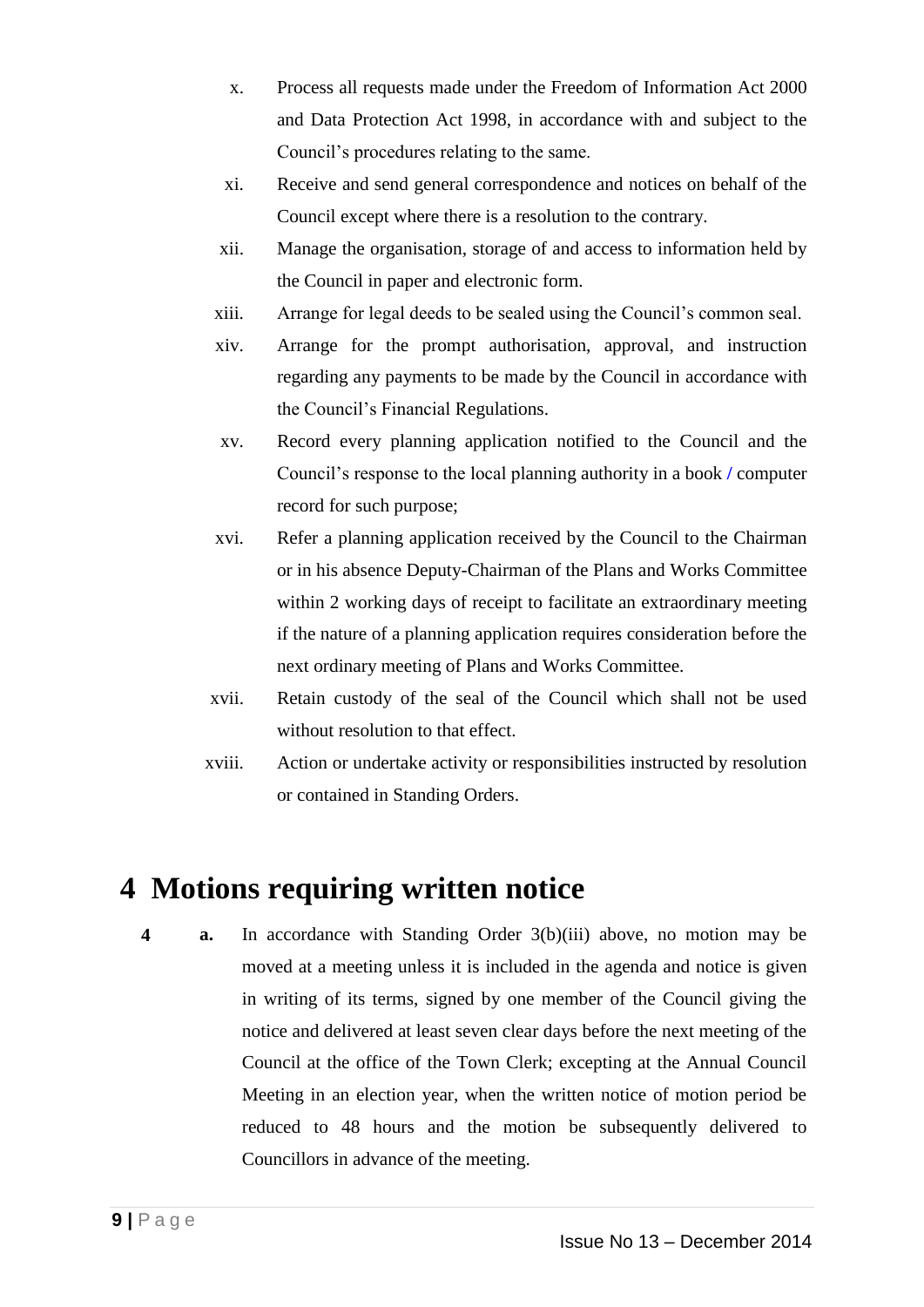- x. Process all requests made under the Freedom of Information Act 2000 and Data Protection Act 1998, in accordance with and subject to the Council's procedures relating to the same.
- xi. Receive and send general correspondence and notices on behalf of the Council except where there is a resolution to the contrary.
- xii. Manage the organisation, storage of and access to information held by the Council in paper and electronic form.
- xiii. Arrange for legal deeds to be sealed using the Council's common seal.
- xiv. Arrange for the prompt authorisation, approval, and instruction regarding any payments to be made by the Council in accordance with the Council's Financial Regulations.
- xv. Record every planning application notified to the Council and the Council's response to the local planning authority in a book **/** computer record for such purpose;
- xvi. Refer a planning application received by the Council to the Chairman or in his absence Deputy-Chairman of the Plans and Works Committee within 2 working days of receipt to facilitate an extraordinary meeting if the nature of a planning application requires consideration before the next ordinary meeting of Plans and Works Committee.
- xvii. Retain custody of the seal of the Council which shall not be used without resolution to that effect.
- xviii. Action or undertake activity or responsibilities instructed by resolution or contained in Standing Orders.

# **4 Motions requiring written notice**

**4 a.** In accordance with Standing Order 3(b)(iii) above, no motion may be moved at a meeting unless it is included in the agenda and notice is given in writing of its terms, signed by one member of the Council giving the notice and delivered at least seven clear days before the next meeting of the Council at the office of the Town Clerk; excepting at the Annual Council Meeting in an election year, when the written notice of motion period be reduced to 48 hours and the motion be subsequently delivered to Councillors in advance of the meeting.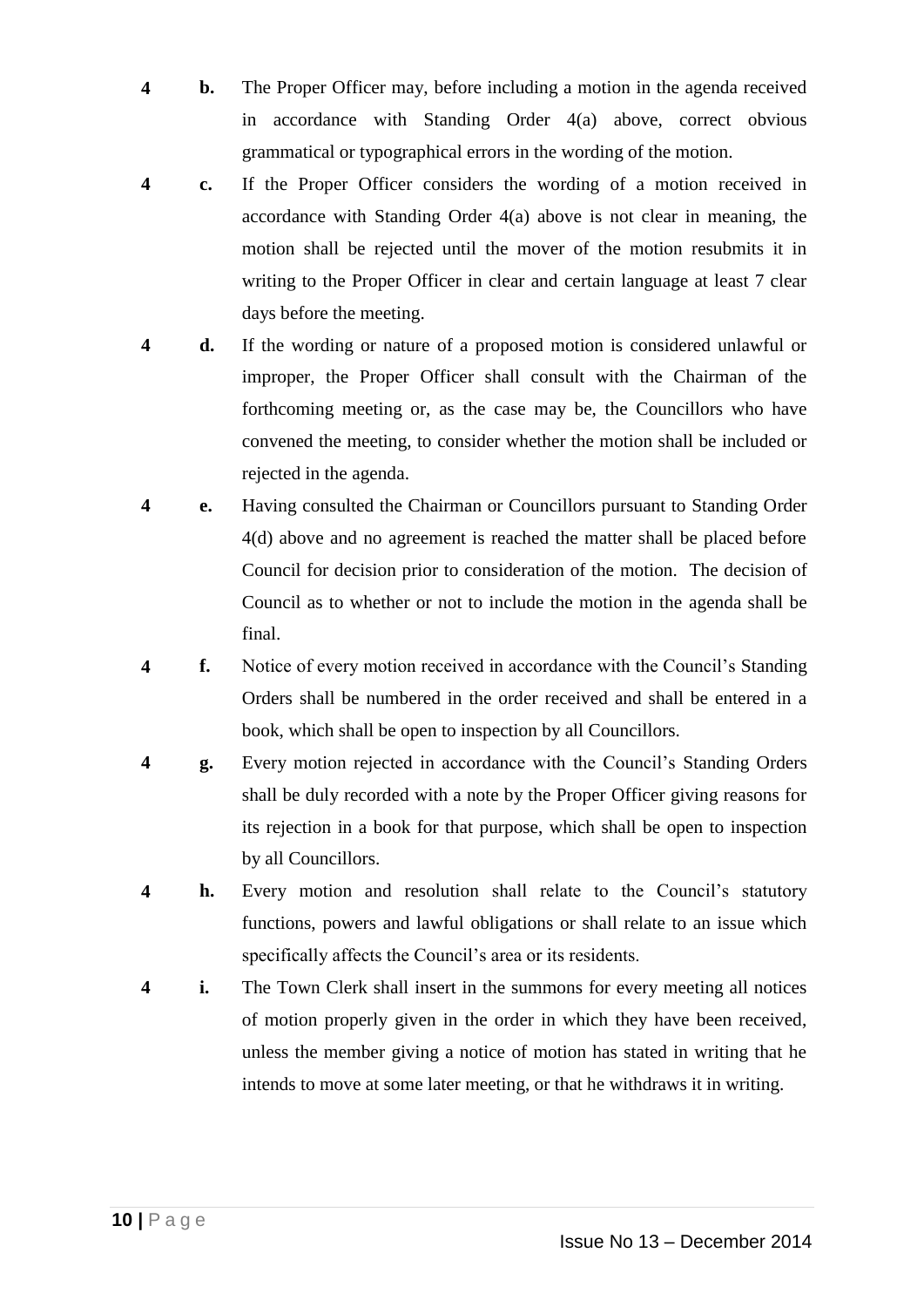- **4 b.** The Proper Officer may, before including a motion in the agenda received in accordance with Standing Order 4(a) above, correct obvious grammatical or typographical errors in the wording of the motion.
- **4 c.** If the Proper Officer considers the wording of a motion received in accordance with Standing Order 4(a) above is not clear in meaning, the motion shall be rejected until the mover of the motion resubmits it in writing to the Proper Officer in clear and certain language at least 7 clear days before the meeting.
- **4 d.** If the wording or nature of a proposed motion is considered unlawful or improper, the Proper Officer shall consult with the Chairman of the forthcoming meeting or, as the case may be, the Councillors who have convened the meeting, to consider whether the motion shall be included or rejected in the agenda.
- **4 e.** Having consulted the Chairman or Councillors pursuant to Standing Order 4(d) above and no agreement is reached the matter shall be placed before Council for decision prior to consideration of the motion. The decision of Council as to whether or not to include the motion in the agenda shall be final.
- **4 f.** Notice of every motion received in accordance with the Council's Standing Orders shall be numbered in the order received and shall be entered in a book, which shall be open to inspection by all Councillors.
- **4 g.** Every motion rejected in accordance with the Council's Standing Orders shall be duly recorded with a note by the Proper Officer giving reasons for its rejection in a book for that purpose, which shall be open to inspection by all Councillors.
- **4 h.** Every motion and resolution shall relate to the Council's statutory functions, powers and lawful obligations or shall relate to an issue which specifically affects the Council's area or its residents.
- **4 i.** The Town Clerk shall insert in the summons for every meeting all notices of motion properly given in the order in which they have been received, unless the member giving a notice of motion has stated in writing that he intends to move at some later meeting, or that he withdraws it in writing.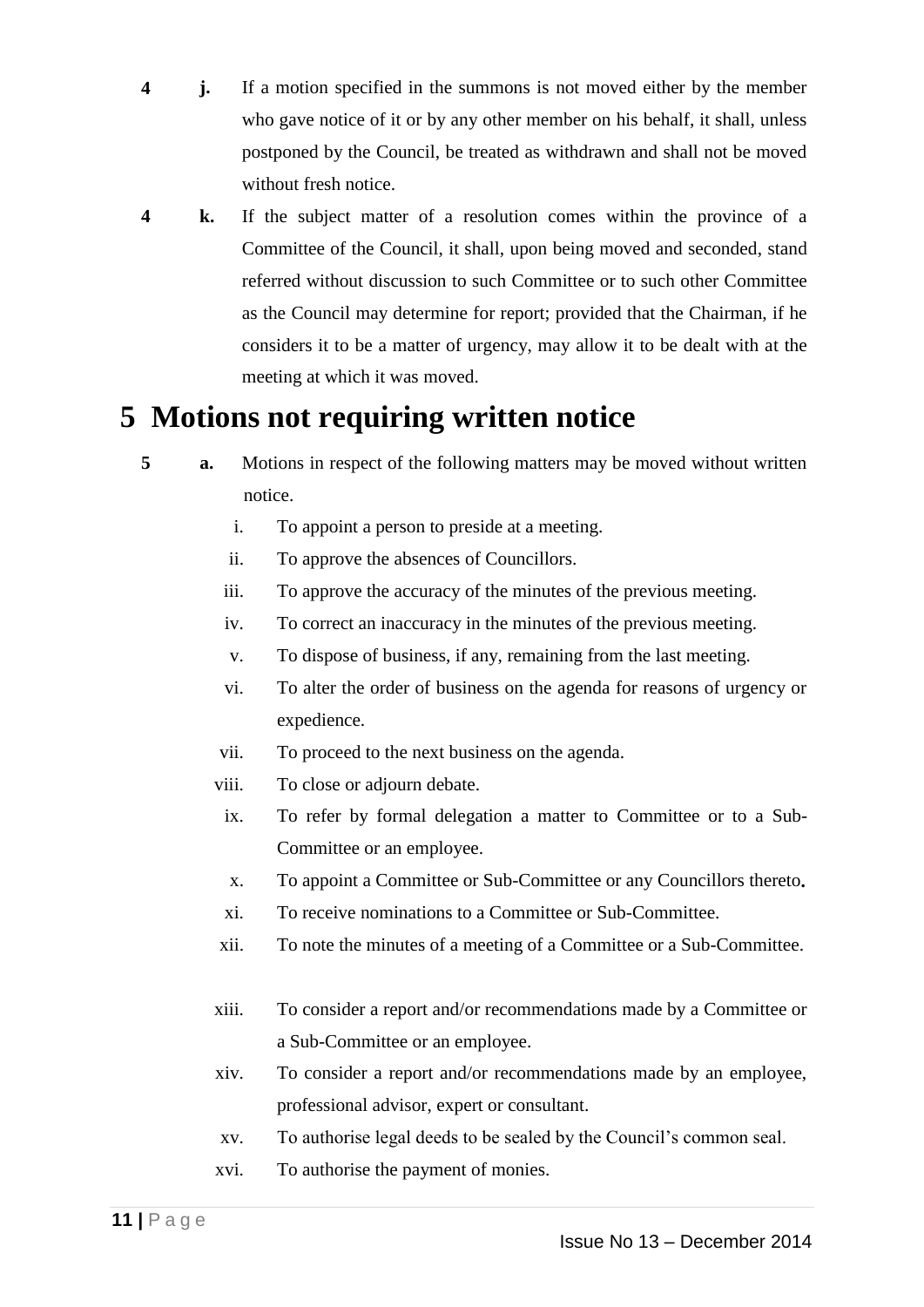- **4 j.** If a motion specified in the summons is not moved either by the member who gave notice of it or by any other member on his behalf, it shall, unless postponed by the Council, be treated as withdrawn and shall not be moved without fresh notice.
- **4 k.** If the subject matter of a resolution comes within the province of a Committee of the Council, it shall, upon being moved and seconded, stand referred without discussion to such Committee or to such other Committee as the Council may determine for report; provided that the Chairman, if he considers it to be a matter of urgency, may allow it to be dealt with at the meeting at which it was moved.

# **5 Motions not requiring written notice**

- **5 a.** Motions in respect of the following matters may be moved without written notice.
	- i. To appoint a person to preside at a meeting.
	- ii. To approve the absences of Councillors.
	- iii. To approve the accuracy of the minutes of the previous meeting.
	- iv. To correct an inaccuracy in the minutes of the previous meeting.
	- v. To dispose of business, if any, remaining from the last meeting.
	- vi. To alter the order of business on the agenda for reasons of urgency or expedience.
	- vii. To proceed to the next business on the agenda.
	- viii. To close or adjourn debate.
	- ix. To refer by formal delegation a matter to Committee or to a Sub-Committee or an employee.
	- x. To appoint a Committee or Sub-Committee or any Councillors thereto**.**
	- xi. To receive nominations to a Committee or Sub-Committee.
	- xii. To note the minutes of a meeting of a Committee or a Sub-Committee.
	- xiii. To consider a report and/or recommendations made by a Committee or a Sub-Committee or an employee.
	- xiv. To consider a report and/or recommendations made by an employee, professional advisor, expert or consultant.
	- xv. To authorise legal deeds to be sealed by the Council's common seal.
	- xvi. To authorise the payment of monies.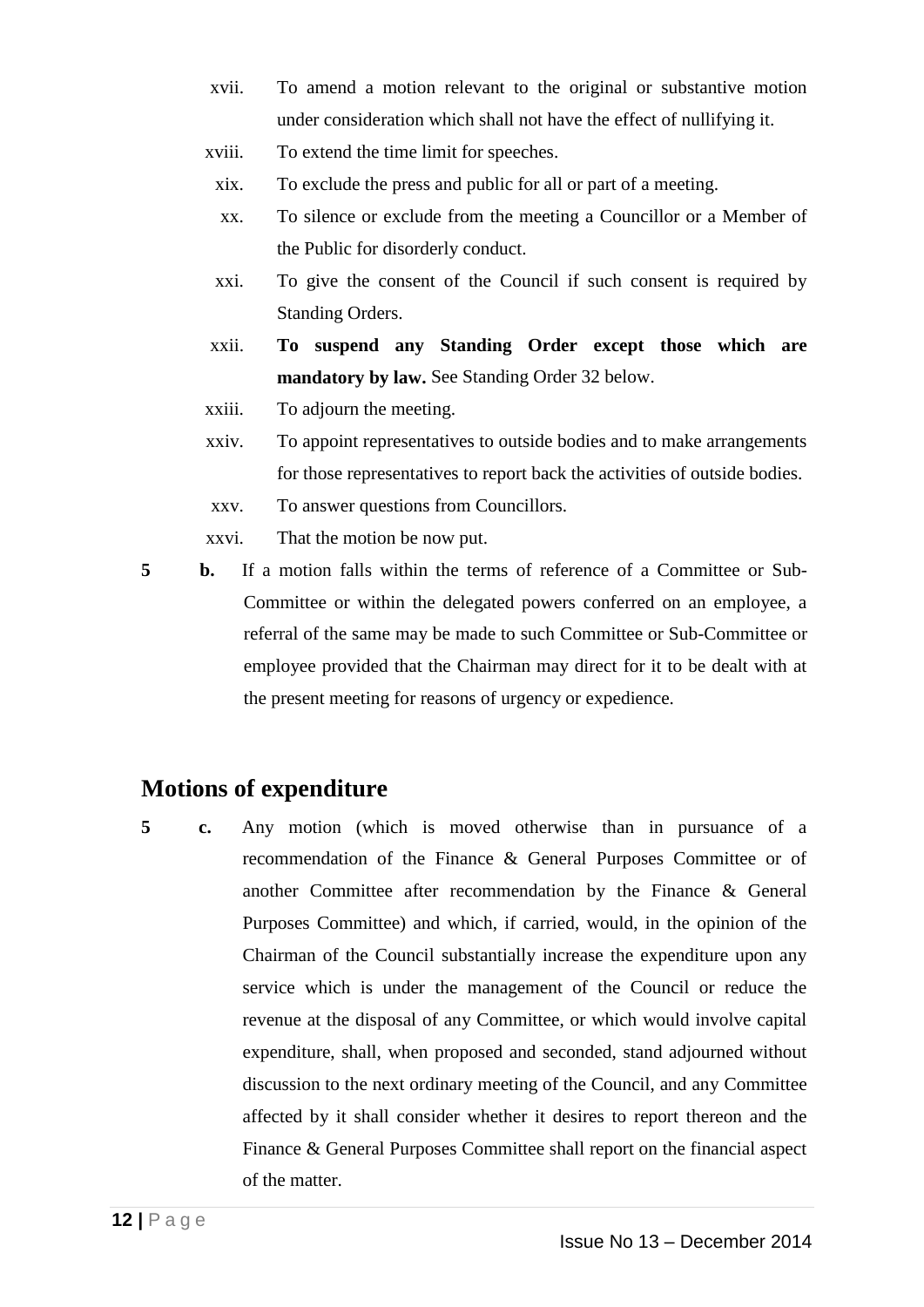- xvii. To amend a motion relevant to the original or substantive motion under consideration which shall not have the effect of nullifying it.
- xviii. To extend the time limit for speeches.
	- xix. To exclude the press and public for all or part of a meeting.
	- xx. To silence or exclude from the meeting a Councillor or a Member of the Public for disorderly conduct.
- xxi. To give the consent of the Council if such consent is required by Standing Orders.
- xxii. **To suspend any Standing Order except those which are mandatory by law.** See Standing Order 32 below.
- xxiii. To adjourn the meeting.
- xxiv. To appoint representatives to outside bodies and to make arrangements for those representatives to report back the activities of outside bodies.
- xxv. To answer questions from Councillors.
- xxvi. That the motion be now put.

**5 b.** If a motion falls within the terms of reference of a Committee or Sub-Committee or within the delegated powers conferred on an employee, a referral of the same may be made to such Committee or Sub-Committee or employee provided that the Chairman may direct for it to be dealt with at the present meeting for reasons of urgency or expedience.

### **Motions of expenditure**

**5 c.** Any motion (which is moved otherwise than in pursuance of a recommendation of the Finance & General Purposes Committee or of another Committee after recommendation by the Finance & General Purposes Committee) and which, if carried, would, in the opinion of the Chairman of the Council substantially increase the expenditure upon any service which is under the management of the Council or reduce the revenue at the disposal of any Committee, or which would involve capital expenditure, shall, when proposed and seconded, stand adjourned without discussion to the next ordinary meeting of the Council, and any Committee affected by it shall consider whether it desires to report thereon and the Finance & General Purposes Committee shall report on the financial aspect of the matter.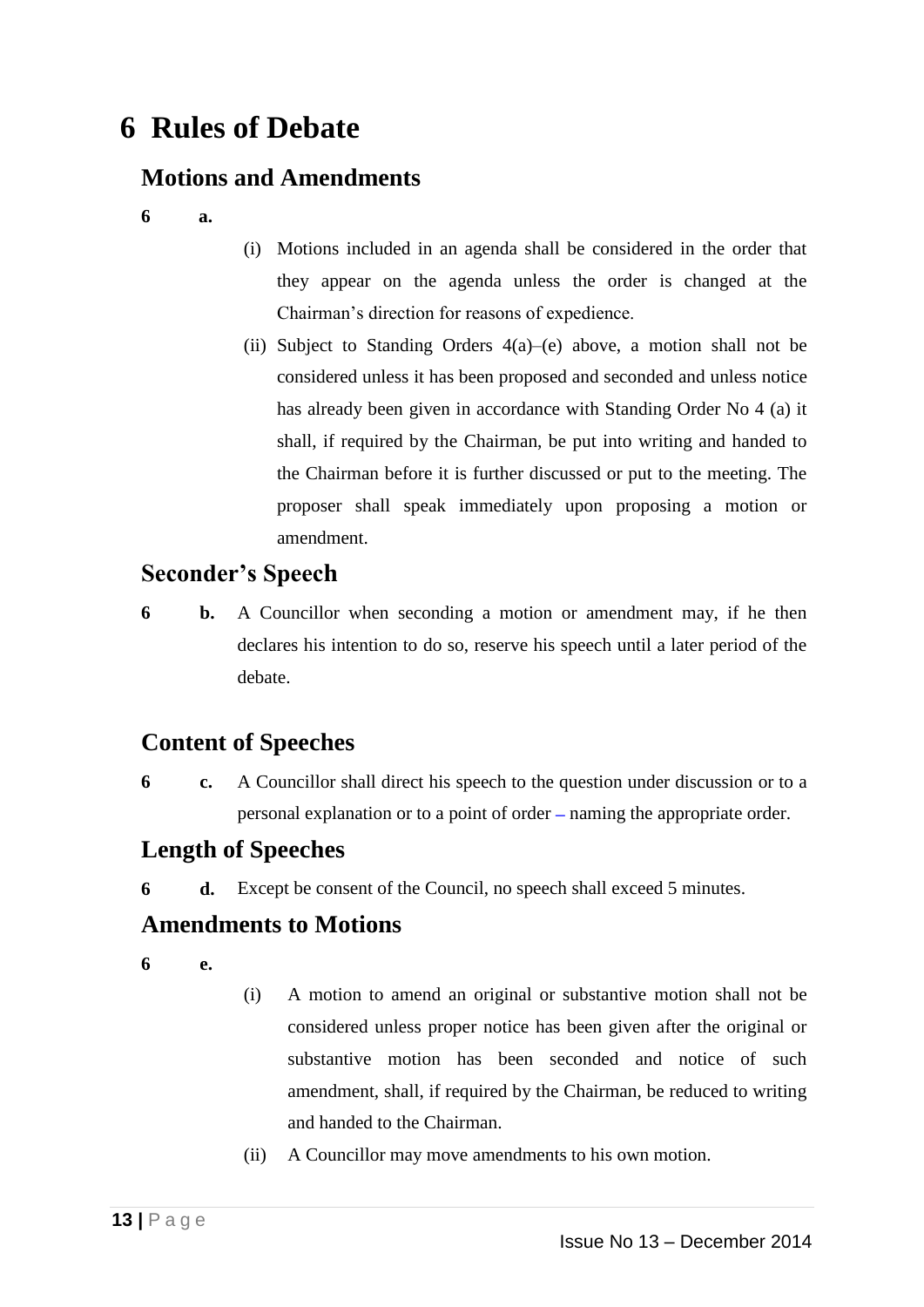# **6 Rules of Debate**

### **Motions and Amendments**

- **6 a.**
- (i) Motions included in an agenda shall be considered in the order that they appear on the agenda unless the order is changed at the Chairman's direction for reasons of expedience.
- (ii) Subject to Standing Orders  $4(a)$ –(e) above, a motion shall not be considered unless it has been proposed and seconded and unless notice has already been given in accordance with Standing Order No 4 (a) it shall, if required by the Chairman, be put into writing and handed to the Chairman before it is further discussed or put to the meeting. The proposer shall speak immediately upon proposing a motion or amendment.

### **Seconder's Speech**

**6 b.** A Councillor when seconding a motion or amendment may, if he then declares his intention to do so, reserve his speech until a later period of the debate.

### **Content of Speeches**

**6 c.** A Councillor shall direct his speech to the question under discussion or to a personal explanation or to a point of order **–** naming the appropriate order.

### **Length of Speeches**

**6 d.** Except be consent of the Council, no speech shall exceed 5 minutes.

#### **Amendments to Motions**

**6 e.**

- (i) A motion to amend an original or substantive motion shall not be considered unless proper notice has been given after the original or substantive motion has been seconded and notice of such amendment, shall, if required by the Chairman, be reduced to writing and handed to the Chairman.
- (ii) A Councillor may move amendments to his own motion.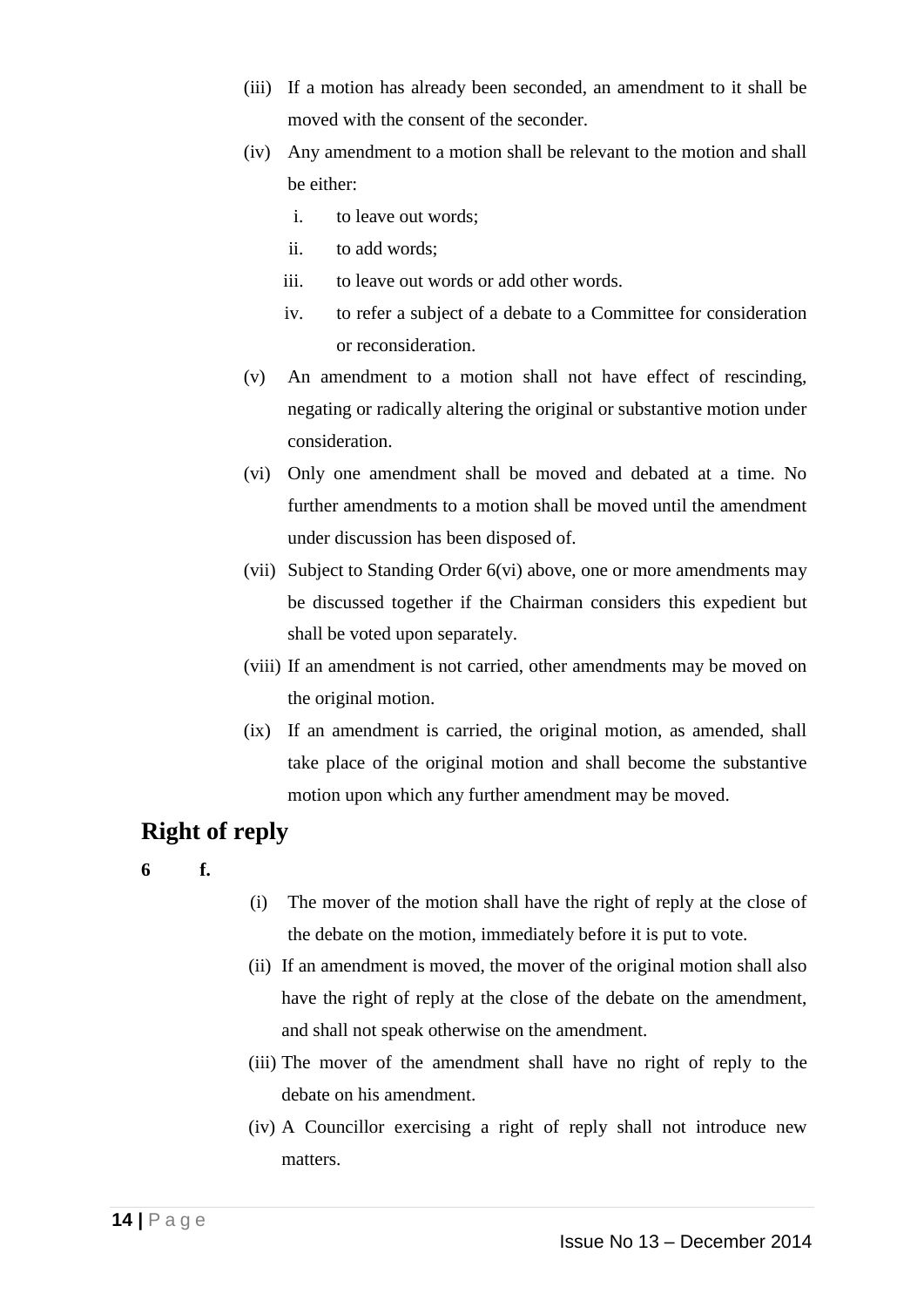- (iii) If a motion has already been seconded, an amendment to it shall be moved with the consent of the seconder.
- (iv) Any amendment to a motion shall be relevant to the motion and shall be either:
	- i. to leave out words;
	- ii. to add words;
	- iii. to leave out words or add other words.
	- iv. to refer a subject of a debate to a Committee for consideration or reconsideration.
- (v) An amendment to a motion shall not have effect of rescinding, negating or radically altering the original or substantive motion under consideration.
- (vi) Only one amendment shall be moved and debated at a time. No further amendments to a motion shall be moved until the amendment under discussion has been disposed of.
- (vii) Subject to Standing Order 6(vi) above, one or more amendments may be discussed together if the Chairman considers this expedient but shall be voted upon separately.
- (viii) If an amendment is not carried, other amendments may be moved on the original motion.
- (ix) If an amendment is carried, the original motion, as amended, shall take place of the original motion and shall become the substantive motion upon which any further amendment may be moved.

### **Right of reply**

- **6 f.**
- (i) The mover of the motion shall have the right of reply at the close of the debate on the motion, immediately before it is put to vote.
- (ii) If an amendment is moved, the mover of the original motion shall also have the right of reply at the close of the debate on the amendment, and shall not speak otherwise on the amendment.
- (iii) The mover of the amendment shall have no right of reply to the debate on his amendment.
- (iv) A Councillor exercising a right of reply shall not introduce new matters.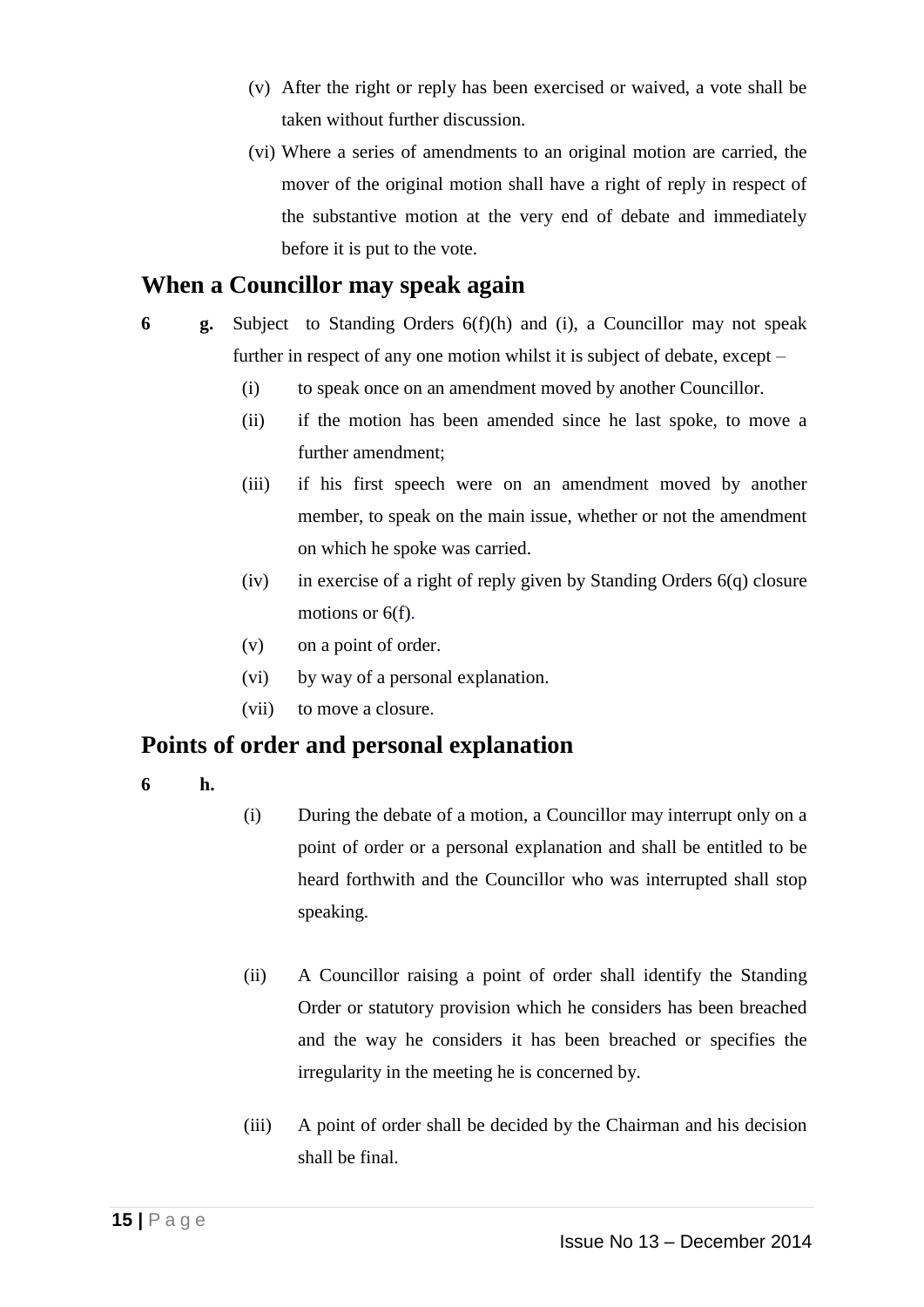- (v) After the right or reply has been exercised or waived, a vote shall be taken without further discussion.
- (vi) Where a series of amendments to an original motion are carried, the mover of the original motion shall have a right of reply in respect of the substantive motion at the very end of debate and immediately before it is put to the vote.

### **When a Councillor may speak again**

- **6 g.** Subject to Standing Orders 6(f)(h) and (i), a Councillor may not speak further in respect of any one motion whilst it is subject of debate, except –
	- (i) to speak once on an amendment moved by another Councillor.
	- (ii) if the motion has been amended since he last spoke, to move a further amendment;
	- (iii) if his first speech were on an amendment moved by another member, to speak on the main issue, whether or not the amendment on which he spoke was carried.
	- (iv) in exercise of a right of reply given by Standing Orders 6(q) closure motions or  $6(f)$ .
	- (v) on a point of order.
	- (vi) by way of a personal explanation.
	- (vii) to move a closure.

#### **Points of order and personal explanation**

**6 h.**

- (i) During the debate of a motion, a Councillor may interrupt only on a point of order or a personal explanation and shall be entitled to be heard forthwith and the Councillor who was interrupted shall stop speaking.
- (ii) A Councillor raising a point of order shall identify the Standing Order or statutory provision which he considers has been breached and the way he considers it has been breached or specifies the irregularity in the meeting he is concerned by.
- (iii) A point of order shall be decided by the Chairman and his decision shall be final.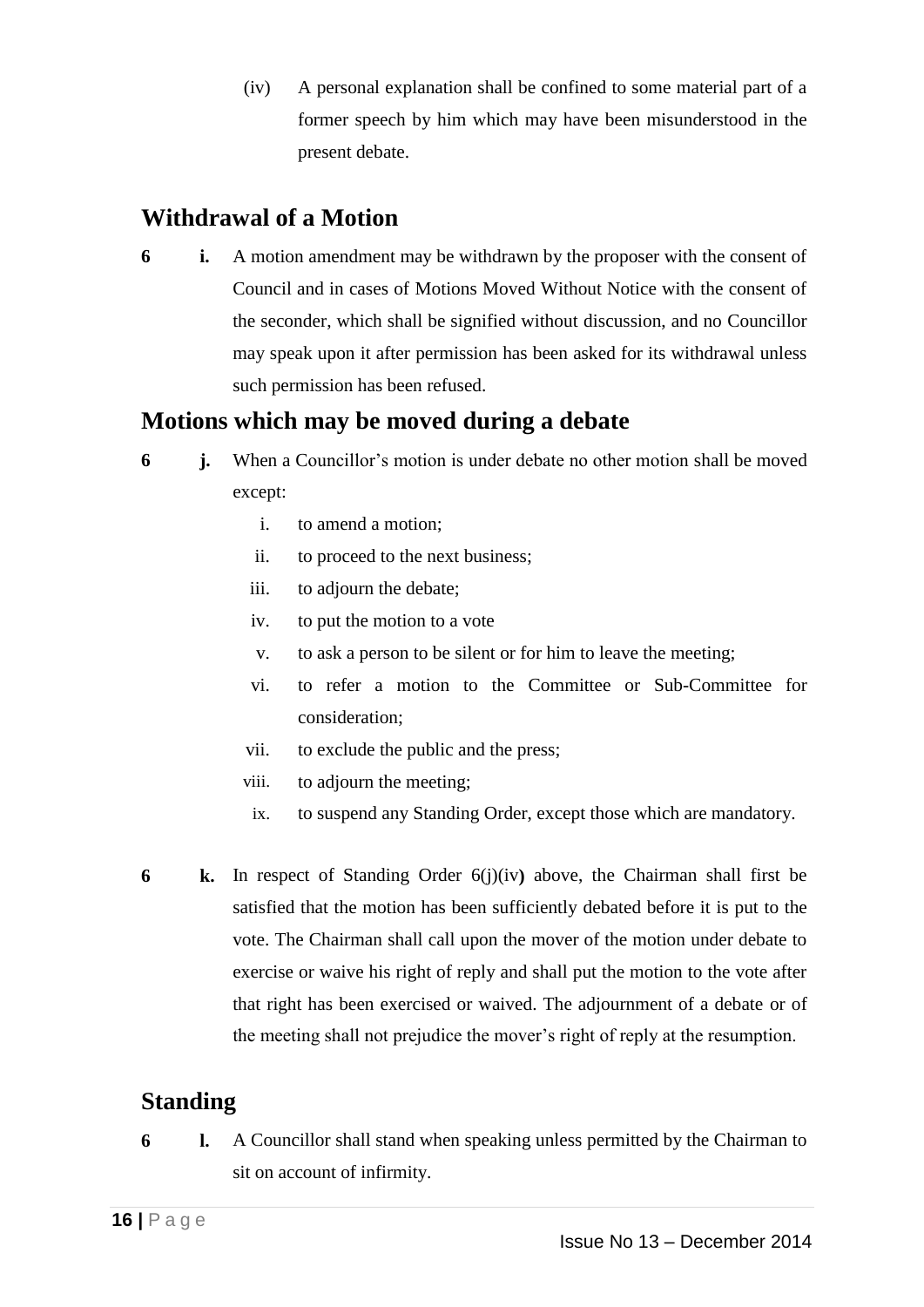(iv) A personal explanation shall be confined to some material part of a former speech by him which may have been misunderstood in the present debate.

### **Withdrawal of a Motion**

**6 i.** A motion amendment may be withdrawn by the proposer with the consent of Council and in cases of Motions Moved Without Notice with the consent of the seconder, which shall be signified without discussion, and no Councillor may speak upon it after permission has been asked for its withdrawal unless such permission has been refused.

### **Motions which may be moved during a debate**

- **6 j.** When a Councillor's motion is under debate no other motion shall be moved except:
	- i. to amend a motion;
	- ii. to proceed to the next business;
	- iii. to adjourn the debate;
	- iv. to put the motion to a vote
	- v. to ask a person to be silent or for him to leave the meeting;
	- vi. to refer a motion to the Committee or Sub-Committee for consideration;
	- vii. to exclude the public and the press;
	- viii. to adjourn the meeting;
	- ix. to suspend any Standing Order, except those which are mandatory.
- **6 k.** In respect of Standing Order 6(j)(iv**)** above, the Chairman shall first be satisfied that the motion has been sufficiently debated before it is put to the vote. The Chairman shall call upon the mover of the motion under debate to exercise or waive his right of reply and shall put the motion to the vote after that right has been exercised or waived. The adjournment of a debate or of the meeting shall not prejudice the mover's right of reply at the resumption.

### **Standing**

**6 l.** A Councillor shall stand when speaking unless permitted by the Chairman to sit on account of infirmity.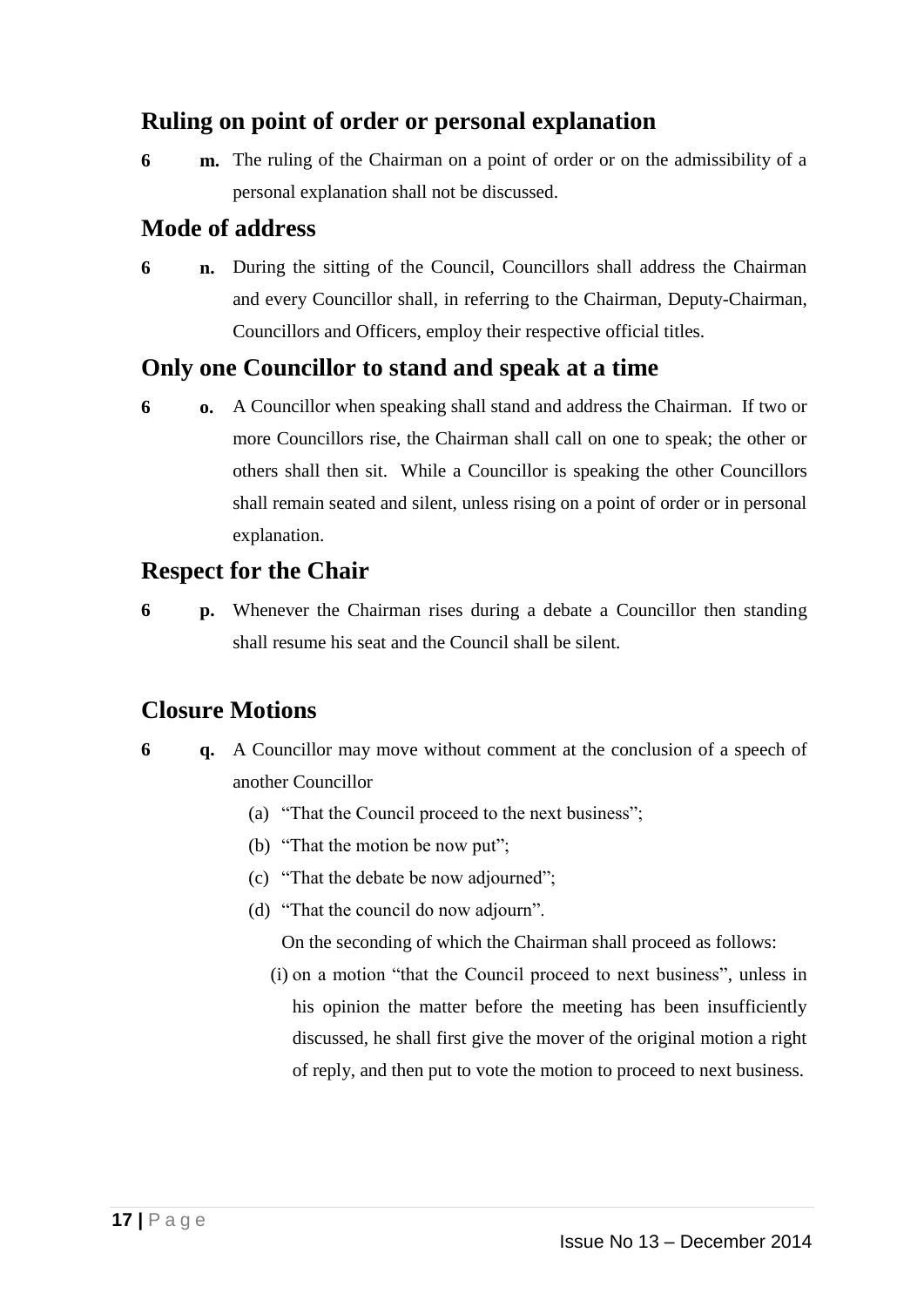### **Ruling on point of order or personal explanation**

**6 m.** The ruling of the Chairman on a point of order or on the admissibility of a personal explanation shall not be discussed.

### **Mode of address**

**6 n.** During the sitting of the Council, Councillors shall address the Chairman and every Councillor shall, in referring to the Chairman, Deputy-Chairman, Councillors and Officers, employ their respective official titles.

#### **Only one Councillor to stand and speak at a time**

**6 o.** A Councillor when speaking shall stand and address the Chairman. If two or more Councillors rise, the Chairman shall call on one to speak; the other or others shall then sit. While a Councillor is speaking the other Councillors shall remain seated and silent, unless rising on a point of order or in personal explanation.

### **Respect for the Chair**

**6 p.** Whenever the Chairman rises during a debate a Councillor then standing shall resume his seat and the Council shall be silent.

### **Closure Motions**

- **6 q.** A Councillor may move without comment at the conclusion of a speech of another Councillor
	- (a) "That the Council proceed to the next business";
	- (b) "That the motion be now put";
	- (c) "That the debate be now adjourned";
	- (d) "That the council do now adjourn".

On the seconding of which the Chairman shall proceed as follows:

(i) on a motion "that the Council proceed to next business", unless in his opinion the matter before the meeting has been insufficiently discussed, he shall first give the mover of the original motion a right of reply, and then put to vote the motion to proceed to next business.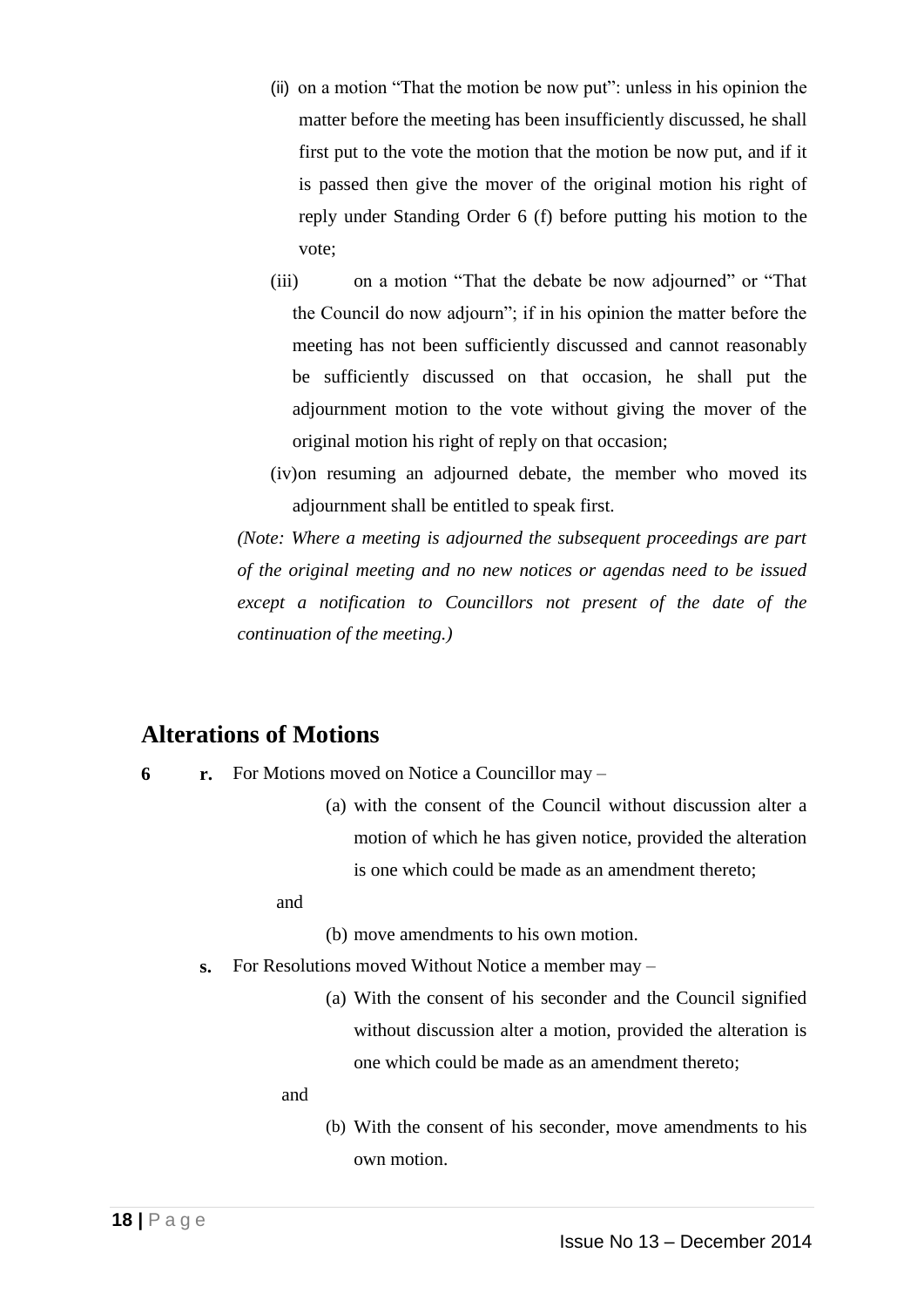- (ii) on a motion "That the motion be now put": unless in his opinion the matter before the meeting has been insufficiently discussed, he shall first put to the vote the motion that the motion be now put, and if it is passed then give the mover of the original motion his right of reply under Standing Order 6 (f) before putting his motion to the vote;
- (iii) on a motion "That the debate be now adjourned" or "That the Council do now adjourn"; if in his opinion the matter before the meeting has not been sufficiently discussed and cannot reasonably be sufficiently discussed on that occasion, he shall put the adjournment motion to the vote without giving the mover of the original motion his right of reply on that occasion;
- (iv)on resuming an adjourned debate, the member who moved its adjournment shall be entitled to speak first.

*(Note: Where a meeting is adjourned the subsequent proceedings are part of the original meeting and no new notices or agendas need to be issued except a notification to Councillors not present of the date of the continuation of the meeting.)*

#### **Alterations of Motions**

- **6 r.** For Motions moved on Notice a Councillor may
	- (a) with the consent of the Council without discussion alter a motion of which he has given notice, provided the alteration is one which could be made as an amendment thereto;

and

- (b) move amendments to his own motion.
- **s.** For Resolutions moved Without Notice a member may
	- (a) With the consent of his seconder and the Council signified without discussion alter a motion, provided the alteration is one which could be made as an amendment thereto;

and

(b) With the consent of his seconder, move amendments to his own motion.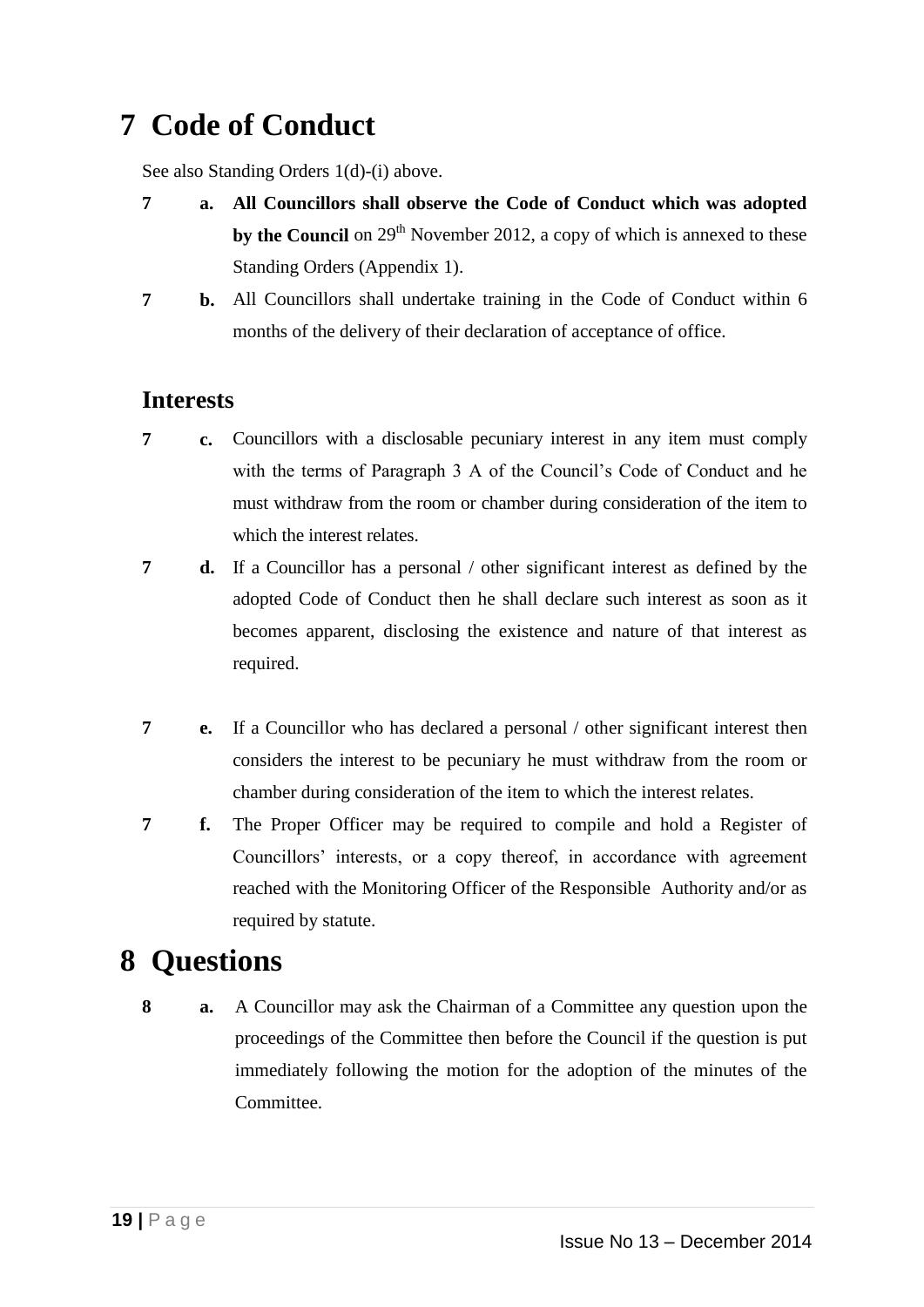# **7 Code of Conduct**

See also Standing Orders 1(d)-(i) above.

- **7 a. All Councillors shall observe the Code of Conduct which was adopted by the Council** on 29<sup>th</sup> November 2012, a copy of which is annexed to these Standing Orders (Appendix 1).
- **7 b.** All Councillors shall undertake training in the Code of Conduct within 6 months of the delivery of their declaration of acceptance of office.

### **Interests**

- **7 c.** Councillors with a disclosable pecuniary interest in any item must comply with the terms of Paragraph 3 A of the Council's Code of Conduct and he must withdraw from the room or chamber during consideration of the item to which the interest relates.
- **7 d.** If a Councillor has a personal / other significant interest as defined by the adopted Code of Conduct then he shall declare such interest as soon as it becomes apparent, disclosing the existence and nature of that interest as required.
- **7 e.** If a Councillor who has declared a personal / other significant interest then considers the interest to be pecuniary he must withdraw from the room or chamber during consideration of the item to which the interest relates.
- **7 f.** The Proper Officer may be required to compile and hold a Register of Councillors' interests, or a copy thereof, in accordance with agreement reached with the Monitoring Officer of the Responsible Authority and/or as required by statute.

# **8 Questions**

**8 a.** A Councillor may ask the Chairman of a Committee any question upon the proceedings of the Committee then before the Council if the question is put immediately following the motion for the adoption of the minutes of the Committee.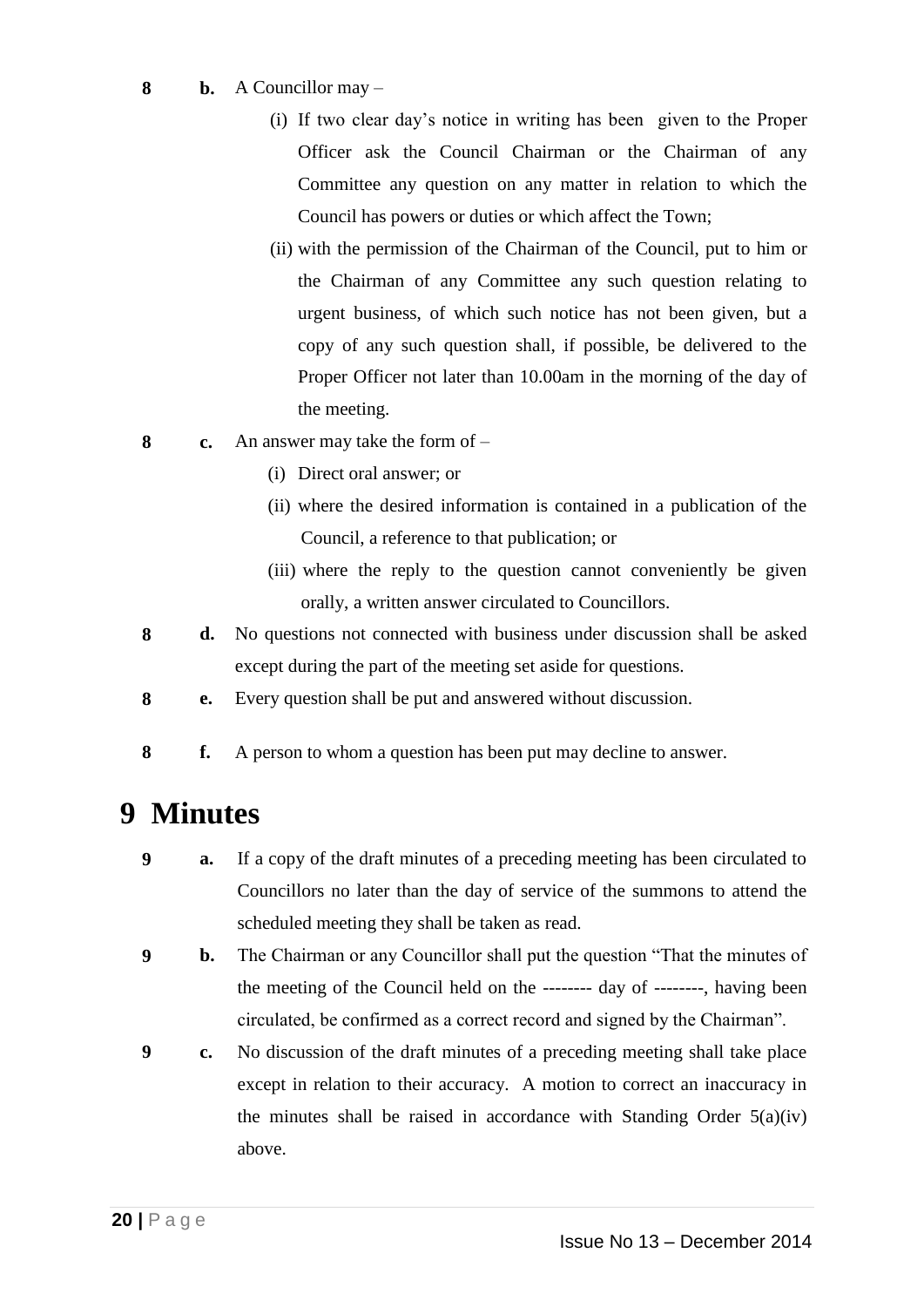- **8 b.** A Councillor may
	- (i) If two clear day's notice in writing has been given to the Proper Officer ask the Council Chairman or the Chairman of any Committee any question on any matter in relation to which the Council has powers or duties or which affect the Town;
	- (ii) with the permission of the Chairman of the Council, put to him or the Chairman of any Committee any such question relating to urgent business, of which such notice has not been given, but a copy of any such question shall, if possible, be delivered to the Proper Officer not later than 10.00am in the morning of the day of the meeting.
- **8 c.** An answer may take the form of
	- (i) Direct oral answer; or
	- (ii) where the desired information is contained in a publication of the Council, a reference to that publication; or
	- (iii) where the reply to the question cannot conveniently be given orally, a written answer circulated to Councillors.
- **8 d.** No questions not connected with business under discussion shall be asked except during the part of the meeting set aside for questions.
- **8 e.** Every question shall be put and answered without discussion.
- **8 f.** A person to whom a question has been put may decline to answer.

# **9 Minutes**

- **9 a.** If a copy of the draft minutes of a preceding meeting has been circulated to Councillors no later than the day of service of the summons to attend the scheduled meeting they shall be taken as read.
- **9 b.** The Chairman or any Councillor shall put the question "That the minutes of the meeting of the Council held on the -------- day of --------, having been circulated, be confirmed as a correct record and signed by the Chairman".
- **9 c.** No discussion of the draft minutes of a preceding meeting shall take place except in relation to their accuracy. A motion to correct an inaccuracy in the minutes shall be raised in accordance with Standing Order  $5(a)(iv)$ above.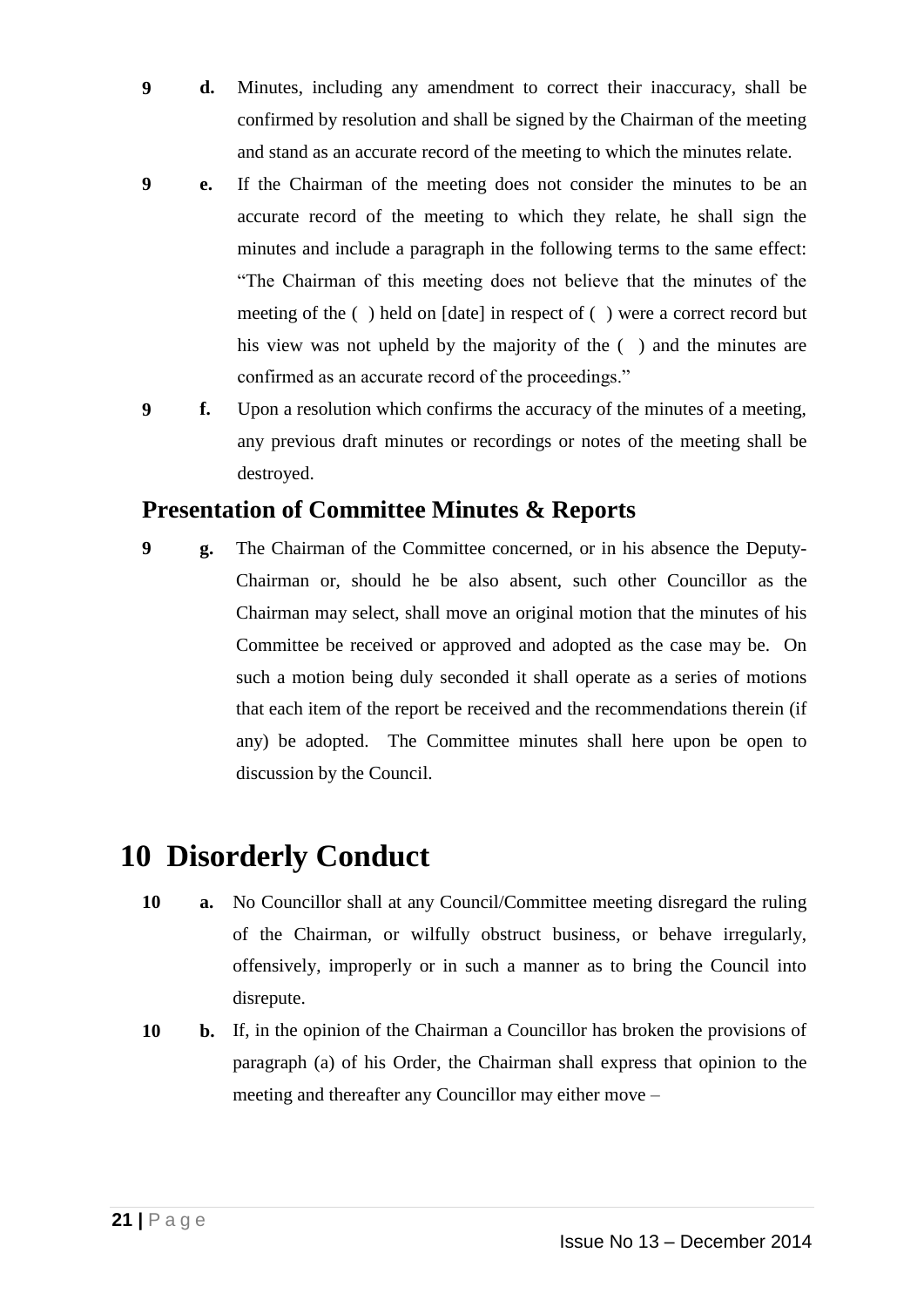- **9 d.** Minutes, including any amendment to correct their inaccuracy, shall be confirmed by resolution and shall be signed by the Chairman of the meeting and stand as an accurate record of the meeting to which the minutes relate.
- **9 e.** If the Chairman of the meeting does not consider the minutes to be an accurate record of the meeting to which they relate, he shall sign the minutes and include a paragraph in the following terms to the same effect: "The Chairman of this meeting does not believe that the minutes of the meeting of the ( ) held on [date] in respect of ( ) were a correct record but his view was not upheld by the majority of the  $($ ) and the minutes are confirmed as an accurate record of the proceedings."
- **9 f.** Upon a resolution which confirms the accuracy of the minutes of a meeting, any previous draft minutes or recordings or notes of the meeting shall be destroyed.

### **Presentation of Committee Minutes & Reports**

**9 g.** The Chairman of the Committee concerned, or in his absence the Deputy-Chairman or, should he be also absent, such other Councillor as the Chairman may select, shall move an original motion that the minutes of his Committee be received or approved and adopted as the case may be. On such a motion being duly seconded it shall operate as a series of motions that each item of the report be received and the recommendations therein (if any) be adopted. The Committee minutes shall here upon be open to discussion by the Council.

# **10 Disorderly Conduct**

- **10 a.** No Councillor shall at any Council/Committee meeting disregard the ruling of the Chairman, or wilfully obstruct business, or behave irregularly, offensively, improperly or in such a manner as to bring the Council into disrepute.
- **10 b.** If, in the opinion of the Chairman a Councillor has broken the provisions of paragraph (a) of his Order, the Chairman shall express that opinion to the meeting and thereafter any Councillor may either move –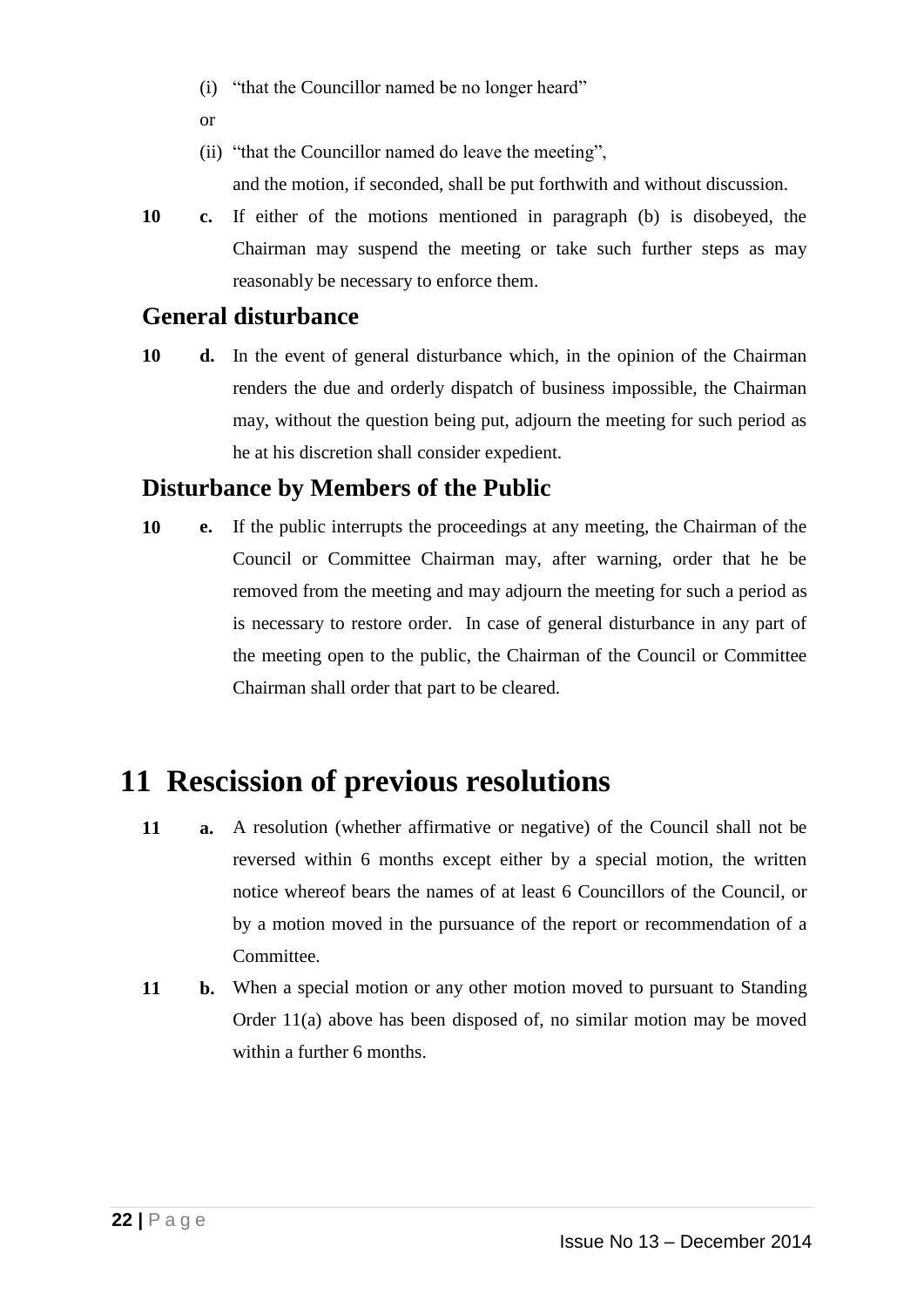- (i) "that the Councillor named be no longer heard"
- or
- (ii) "that the Councillor named do leave the meeting", and the motion, if seconded, shall be put forthwith and without discussion.
- **10 c.** If either of the motions mentioned in paragraph (b) is disobeyed, the Chairman may suspend the meeting or take such further steps as may reasonably be necessary to enforce them.

#### **General disturbance**

**10 d.** In the event of general disturbance which, in the opinion of the Chairman renders the due and orderly dispatch of business impossible, the Chairman may, without the question being put, adjourn the meeting for such period as he at his discretion shall consider expedient.

### **Disturbance by Members of the Public**

**10 e.** If the public interrupts the proceedings at any meeting, the Chairman of the Council or Committee Chairman may, after warning, order that he be removed from the meeting and may adjourn the meeting for such a period as is necessary to restore order. In case of general disturbance in any part of the meeting open to the public, the Chairman of the Council or Committee Chairman shall order that part to be cleared.

# **11 Rescission of previous resolutions**

- **11 a.** A resolution (whether affirmative or negative) of the Council shall not be reversed within 6 months except either by a special motion, the written notice whereof bears the names of at least 6 Councillors of the Council, or by a motion moved in the pursuance of the report or recommendation of a Committee.
- **11 b.** When a special motion or any other motion moved to pursuant to Standing Order 11(a) above has been disposed of, no similar motion may be moved within a further 6 months.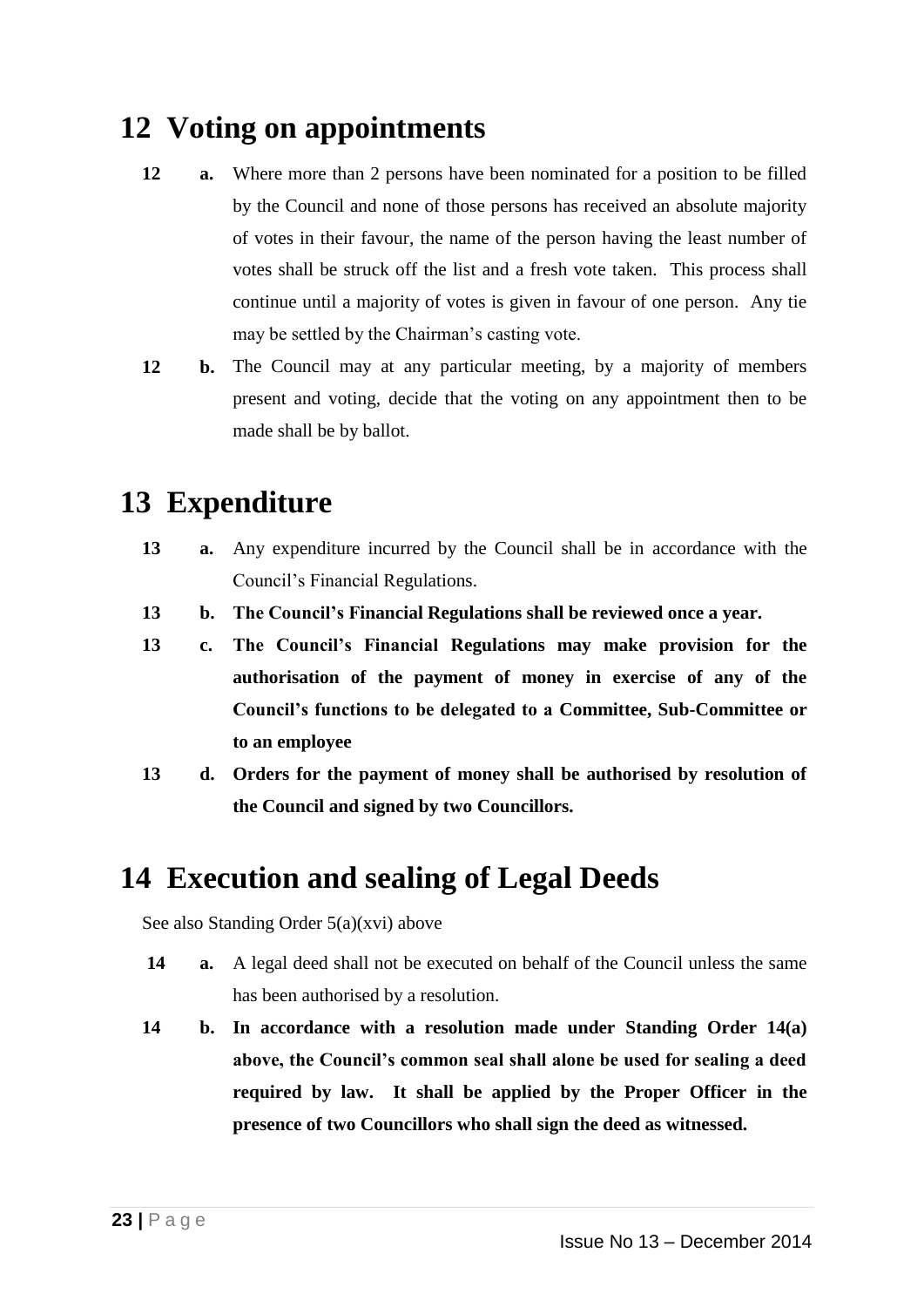# **12 Voting on appointments**

- **12 a.** Where more than 2 persons have been nominated for a position to be filled by the Council and none of those persons has received an absolute majority of votes in their favour, the name of the person having the least number of votes shall be struck off the list and a fresh vote taken. This process shall continue until a majority of votes is given in favour of one person. Any tie may be settled by the Chairman's casting vote.
- **12 b.** The Council may at any particular meeting, by a majority of members present and voting, decide that the voting on any appointment then to be made shall be by ballot.

# **13 Expenditure**

- **13 a.** Any expenditure incurred by the Council shall be in accordance with the Council's Financial Regulations.
- **13 b. The Council's Financial Regulations shall be reviewed once a year.**
- **13 c. The Council's Financial Regulations may make provision for the authorisation of the payment of money in exercise of any of the Council's functions to be delegated to a Committee, Sub-Committee or to an employee**
- **13 d. Orders for the payment of money shall be authorised by resolution of the Council and signed by two Councillors.**

# **14 Execution and sealing of Legal Deeds**

See also Standing Order 5(a)(xvi) above

- **14 a.** A legal deed shall not be executed on behalf of the Council unless the same has been authorised by a resolution.
- **14 b. In accordance with a resolution made under Standing Order 14(a) above, the Council's common seal shall alone be used for sealing a deed required by law. It shall be applied by the Proper Officer in the presence of two Councillors who shall sign the deed as witnessed.**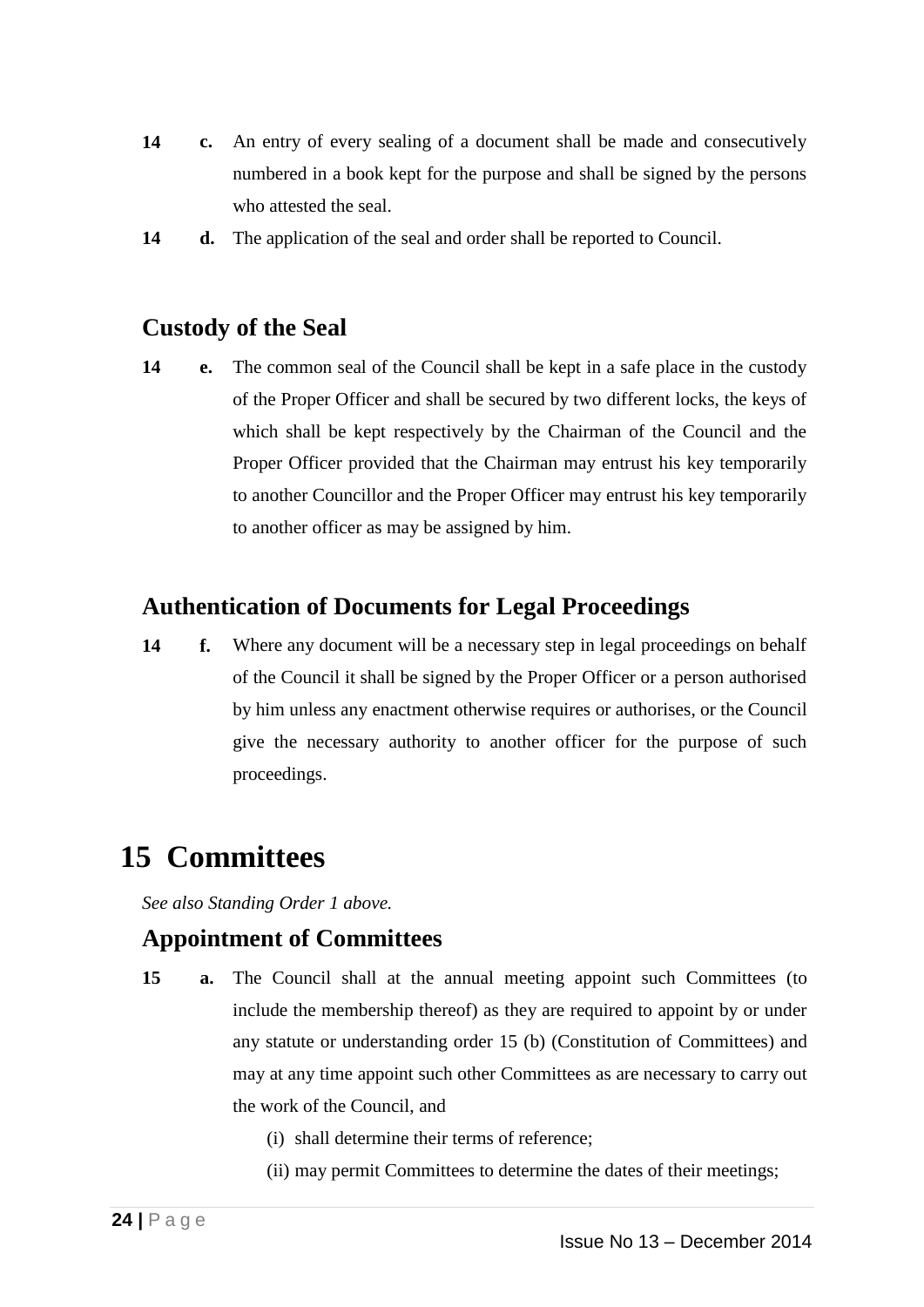- **14 c.** An entry of every sealing of a document shall be made and consecutively numbered in a book kept for the purpose and shall be signed by the persons who attested the seal.
- **14 d.** The application of the seal and order shall be reported to Council.

### **Custody of the Seal**

**14 e.** The common seal of the Council shall be kept in a safe place in the custody of the Proper Officer and shall be secured by two different locks, the keys of which shall be kept respectively by the Chairman of the Council and the Proper Officer provided that the Chairman may entrust his key temporarily to another Councillor and the Proper Officer may entrust his key temporarily to another officer as may be assigned by him.

#### **Authentication of Documents for Legal Proceedings**

**14 f.** Where any document will be a necessary step in legal proceedings on behalf of the Council it shall be signed by the Proper Officer or a person authorised by him unless any enactment otherwise requires or authorises, or the Council give the necessary authority to another officer for the purpose of such proceedings.

# **15 Committees**

*See also Standing Order 1 above.*

### **Appointment of Committees**

- **15 a.** The Council shall at the annual meeting appoint such Committees (to include the membership thereof) as they are required to appoint by or under any statute or understanding order 15 (b) (Constitution of Committees) and may at any time appoint such other Committees as are necessary to carry out the work of the Council, and
	- (i) shall determine their terms of reference;
	- (ii) may permit Committees to determine the dates of their meetings;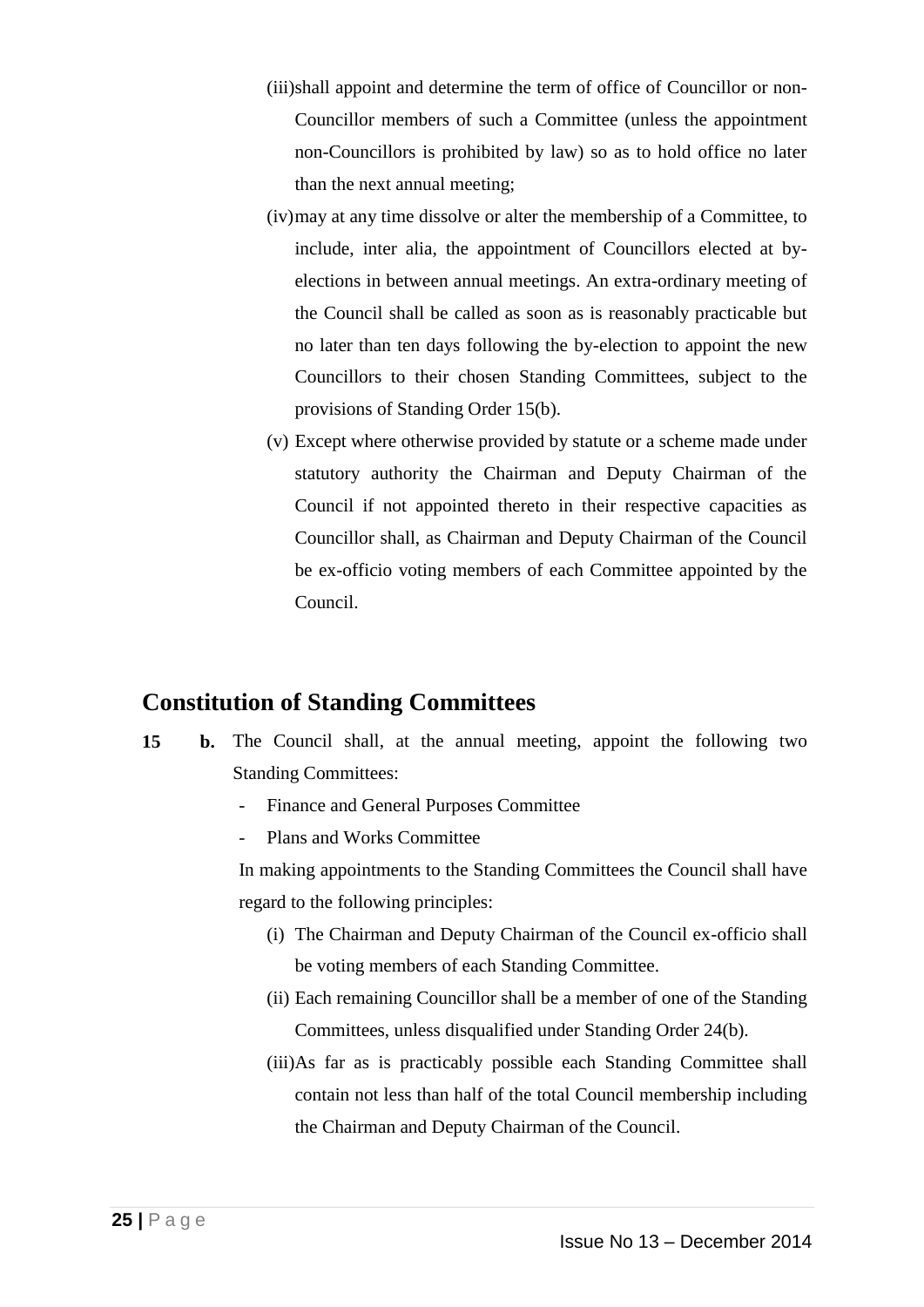- (iii)shall appoint and determine the term of office of Councillor or non-Councillor members of such a Committee (unless the appointment non-Councillors is prohibited by law) so as to hold office no later than the next annual meeting;
- (iv)may at any time dissolve or alter the membership of a Committee, to include, inter alia, the appointment of Councillors elected at byelections in between annual meetings. An extra-ordinary meeting of the Council shall be called as soon as is reasonably practicable but no later than ten days following the by-election to appoint the new Councillors to their chosen Standing Committees, subject to the provisions of Standing Order 15(b).
- (v) Except where otherwise provided by statute or a scheme made under statutory authority the Chairman and Deputy Chairman of the Council if not appointed thereto in their respective capacities as Councillor shall, as Chairman and Deputy Chairman of the Council be ex-officio voting members of each Committee appointed by the Council.

### **Constitution of Standing Committees**

- **15 b.** The Council shall, at the annual meeting, appoint the following two Standing Committees:
	- Finance and General Purposes Committee
	- Plans and Works Committee

In making appointments to the Standing Committees the Council shall have regard to the following principles:

- (i) The Chairman and Deputy Chairman of the Council ex-officio shall be voting members of each Standing Committee.
- (ii) Each remaining Councillor shall be a member of one of the Standing Committees, unless disqualified under Standing Order 24(b).
- (iii)As far as is practicably possible each Standing Committee shall contain not less than half of the total Council membership including the Chairman and Deputy Chairman of the Council.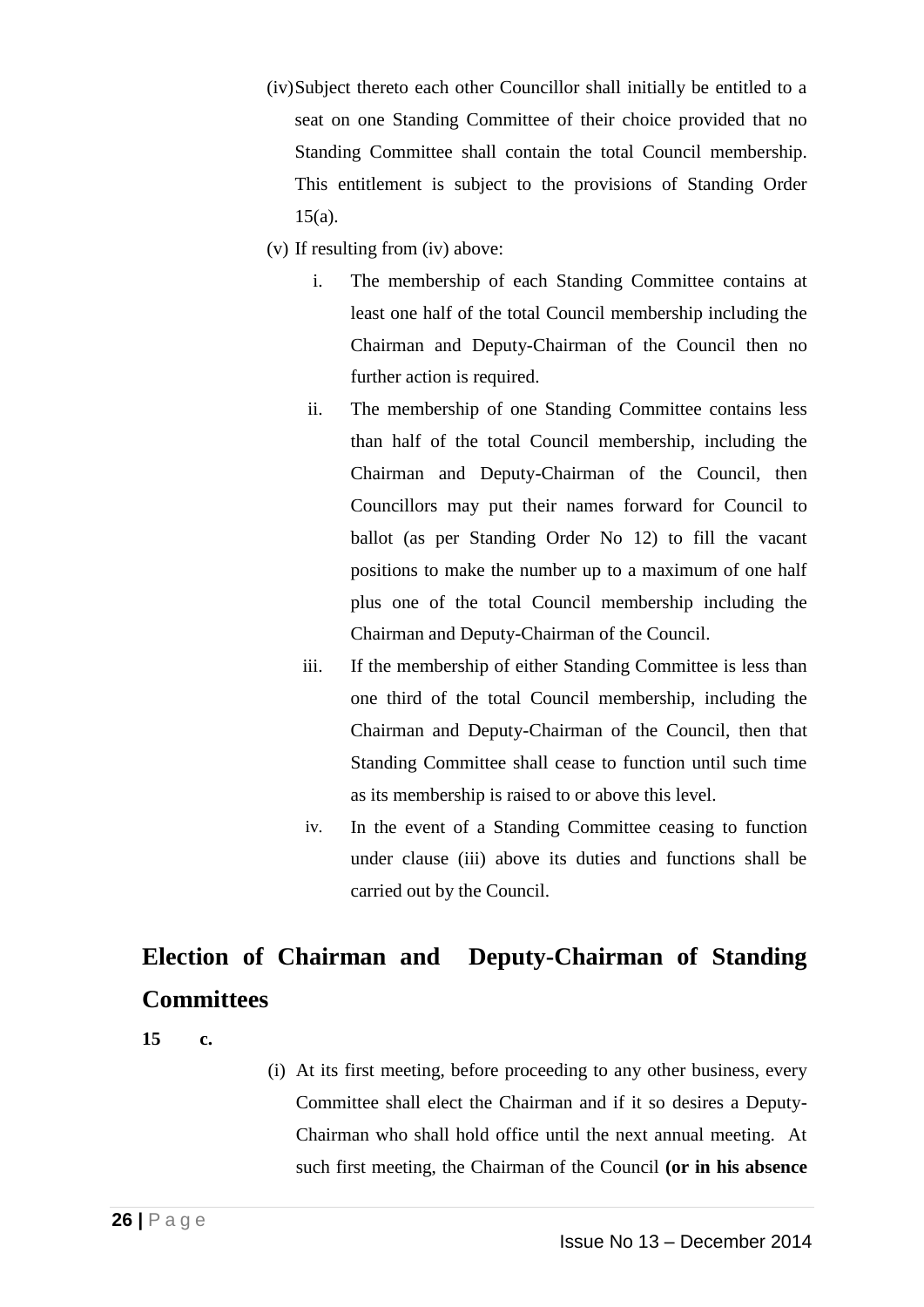- (iv)Subject thereto each other Councillor shall initially be entitled to a seat on one Standing Committee of their choice provided that no Standing Committee shall contain the total Council membership. This entitlement is subject to the provisions of Standing Order  $15(a)$ .
- (v) If resulting from (iv) above:
	- i. The membership of each Standing Committee contains at least one half of the total Council membership including the Chairman and Deputy-Chairman of the Council then no further action is required.
	- ii. The membership of one Standing Committee contains less than half of the total Council membership, including the Chairman and Deputy-Chairman of the Council, then Councillors may put their names forward for Council to ballot (as per Standing Order No 12) to fill the vacant positions to make the number up to a maximum of one half plus one of the total Council membership including the Chairman and Deputy-Chairman of the Council.
	- iii. If the membership of either Standing Committee is less than one third of the total Council membership, including the Chairman and Deputy-Chairman of the Council, then that Standing Committee shall cease to function until such time as its membership is raised to or above this level.
	- iv. In the event of a Standing Committee ceasing to function under clause (iii) above its duties and functions shall be carried out by the Council.

# **Election of Chairman and Deputy-Chairman of Standing Committees**

**15 c.**

(i) At its first meeting, before proceeding to any other business, every Committee shall elect the Chairman and if it so desires a Deputy-Chairman who shall hold office until the next annual meeting. At such first meeting, the Chairman of the Council **(or in his absence**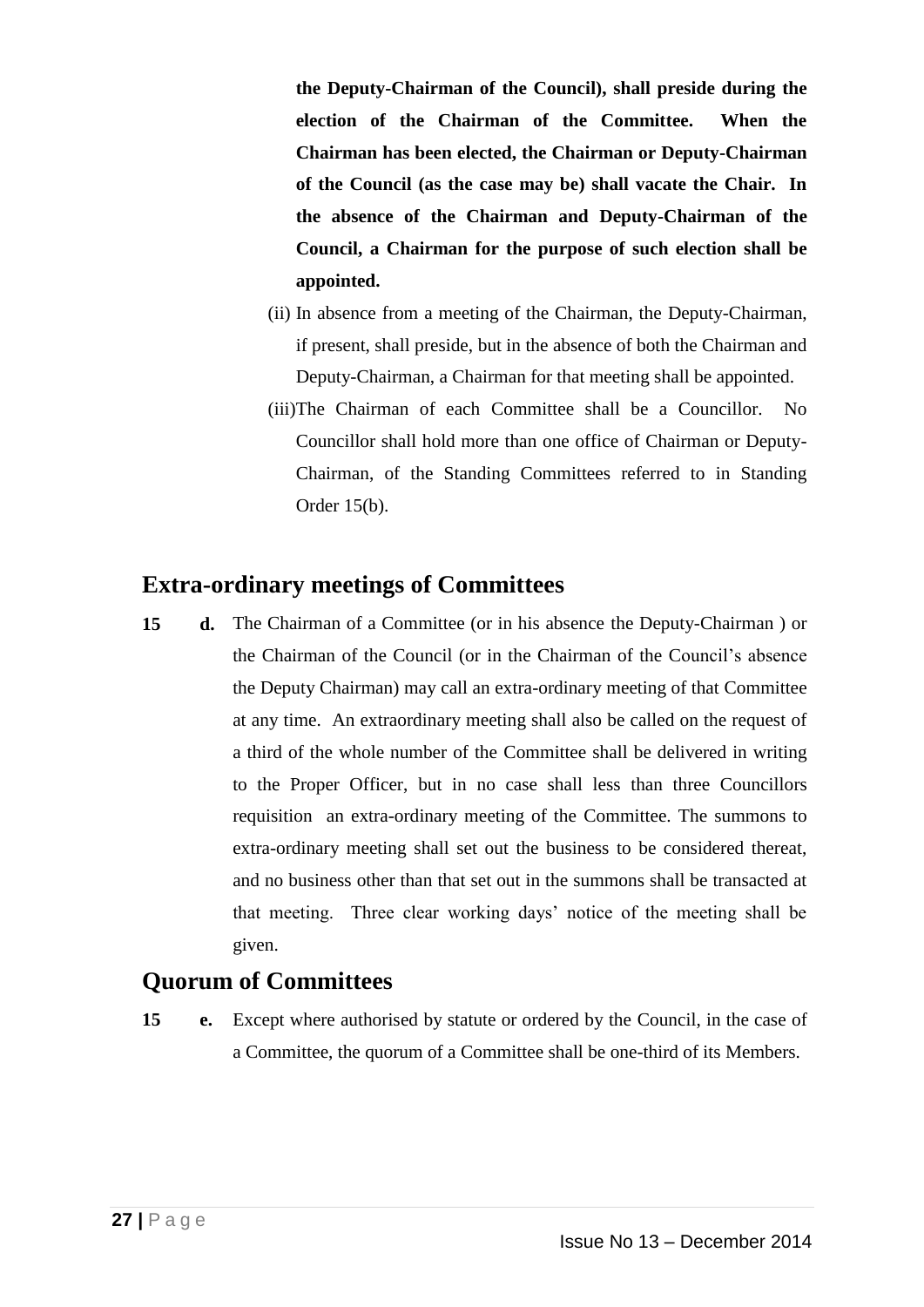**the Deputy-Chairman of the Council), shall preside during the election of the Chairman of the Committee. When the Chairman has been elected, the Chairman or Deputy-Chairman of the Council (as the case may be) shall vacate the Chair. In the absence of the Chairman and Deputy-Chairman of the Council, a Chairman for the purpose of such election shall be appointed.** 

- (ii) In absence from a meeting of the Chairman, the Deputy-Chairman, if present, shall preside, but in the absence of both the Chairman and Deputy-Chairman, a Chairman for that meeting shall be appointed.
- (iii)The Chairman of each Committee shall be a Councillor. No Councillor shall hold more than one office of Chairman or Deputy-Chairman, of the Standing Committees referred to in Standing Order 15(b).

#### **Extra-ordinary meetings of Committees**

**15 d.** The Chairman of a Committee (or in his absence the Deputy-Chairman ) or the Chairman of the Council (or in the Chairman of the Council's absence the Deputy Chairman) may call an extra-ordinary meeting of that Committee at any time. An extraordinary meeting shall also be called on the request of a third of the whole number of the Committee shall be delivered in writing to the Proper Officer, but in no case shall less than three Councillors requisition an extra-ordinary meeting of the Committee. The summons to extra-ordinary meeting shall set out the business to be considered thereat, and no business other than that set out in the summons shall be transacted at that meeting. Three clear working days' notice of the meeting shall be given.

### **Quorum of Committees**

**15 e.** Except where authorised by statute or ordered by the Council, in the case of a Committee, the quorum of a Committee shall be one-third of its Members.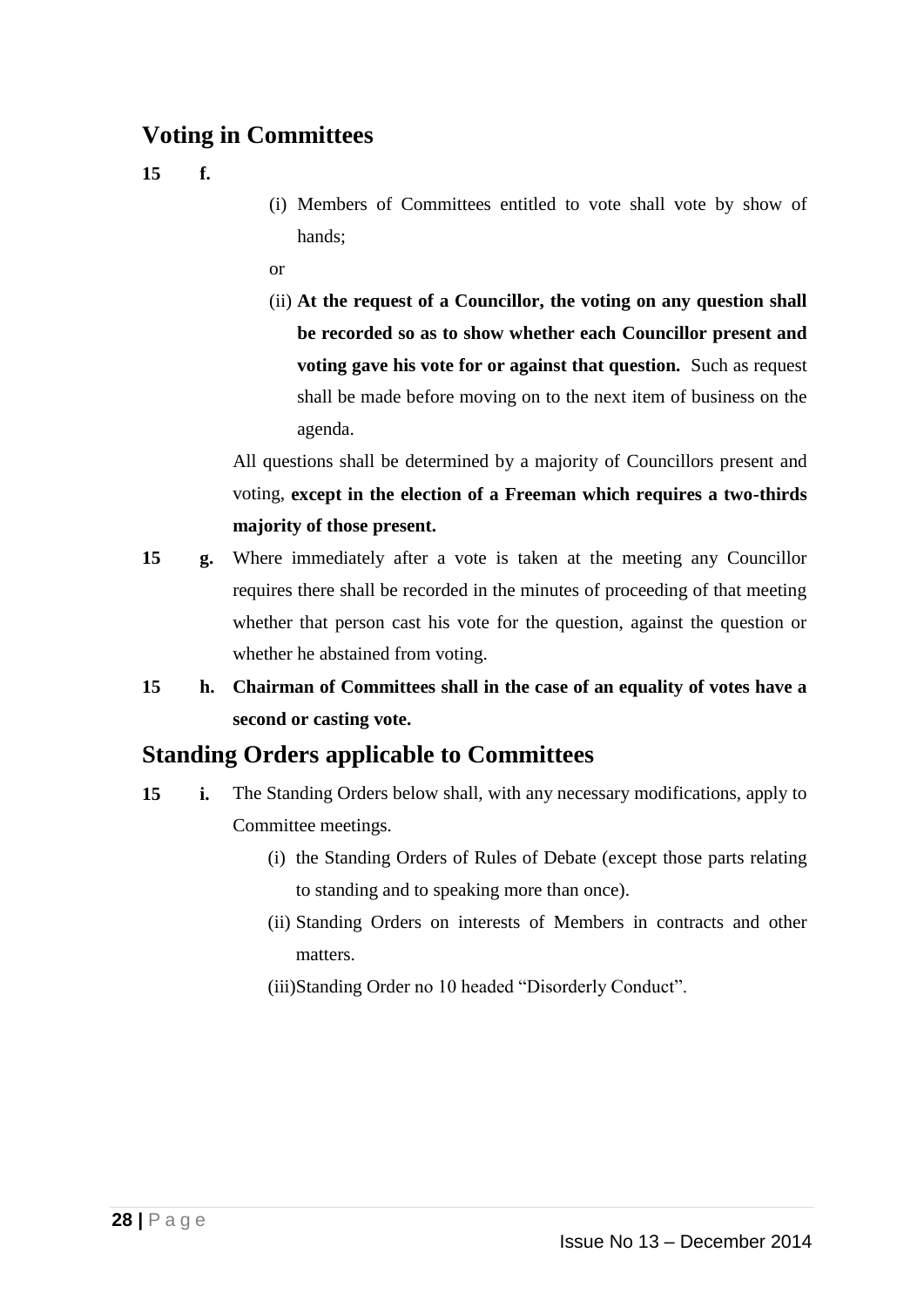### **Voting in Committees**

**15 f.**

- (i) Members of Committees entitled to vote shall vote by show of hands;
- or

(ii) **At the request of a Councillor, the voting on any question shall be recorded so as to show whether each Councillor present and voting gave his vote for or against that question.** Such as request shall be made before moving on to the next item of business on the agenda.

All questions shall be determined by a majority of Councillors present and voting, **except in the election of a Freeman which requires a two-thirds majority of those present.** 

- **15 g.** Where immediately after a vote is taken at the meeting any Councillor requires there shall be recorded in the minutes of proceeding of that meeting whether that person cast his vote for the question, against the question or whether he abstained from voting.
- **15 h. Chairman of Committees shall in the case of an equality of votes have a second or casting vote.**

### **Standing Orders applicable to Committees**

- **15 i.** The Standing Orders below shall, with any necessary modifications, apply to Committee meetings.
	- (i) the Standing Orders of Rules of Debate (except those parts relating to standing and to speaking more than once).
	- (ii) Standing Orders on interests of Members in contracts and other matters.
	- (iii)Standing Order no 10 headed "Disorderly Conduct".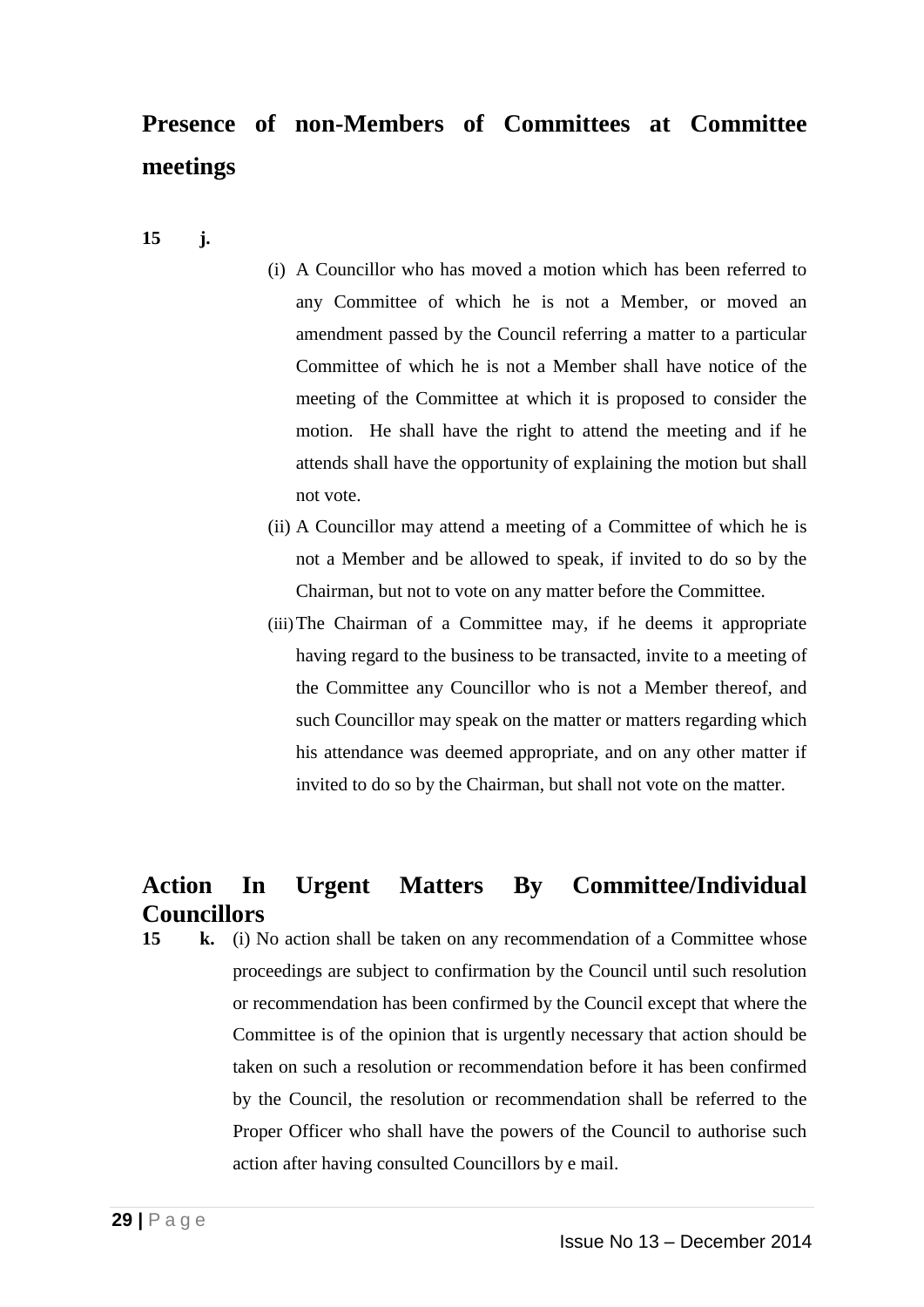# **Presence of non-Members of Committees at Committee meetings**

- **15 j.**
- (i) A Councillor who has moved a motion which has been referred to any Committee of which he is not a Member, or moved an amendment passed by the Council referring a matter to a particular Committee of which he is not a Member shall have notice of the meeting of the Committee at which it is proposed to consider the motion. He shall have the right to attend the meeting and if he attends shall have the opportunity of explaining the motion but shall not vote.
- (ii) A Councillor may attend a meeting of a Committee of which he is not a Member and be allowed to speak, if invited to do so by the Chairman, but not to vote on any matter before the Committee.
- (iii)The Chairman of a Committee may, if he deems it appropriate having regard to the business to be transacted, invite to a meeting of the Committee any Councillor who is not a Member thereof, and such Councillor may speak on the matter or matters regarding which his attendance was deemed appropriate, and on any other matter if invited to do so by the Chairman, but shall not vote on the matter.

### **Action In Urgent Matters By Committee/Individual Councillors**

**15 k.** (i) No action shall be taken on any recommendation of a Committee whose proceedings are subject to confirmation by the Council until such resolution or recommendation has been confirmed by the Council except that where the Committee is of the opinion that is urgently necessary that action should be taken on such a resolution or recommendation before it has been confirmed by the Council, the resolution or recommendation shall be referred to the Proper Officer who shall have the powers of the Council to authorise such action after having consulted Councillors by e mail.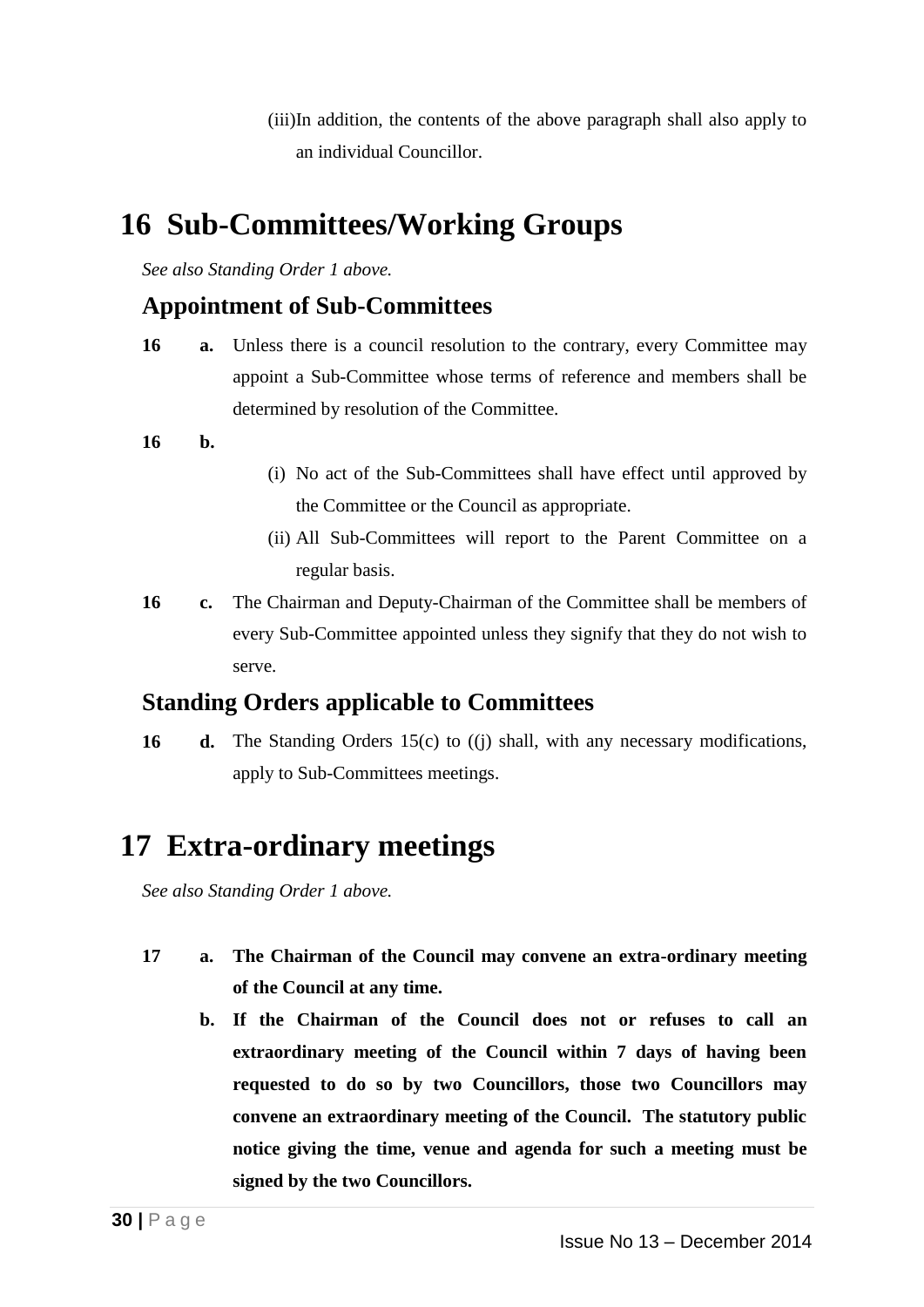(iii)In addition, the contents of the above paragraph shall also apply to an individual Councillor.

# **16 Sub-Committees/Working Groups**

*See also Standing Order 1 above.*

### **Appointment of Sub-Committees**

**16 a.** Unless there is a council resolution to the contrary, every Committee may appoint a Sub-Committee whose terms of reference and members shall be determined by resolution of the Committee.

#### **16 b.**

- (i) No act of the Sub-Committees shall have effect until approved by the Committee or the Council as appropriate.
- (ii) All Sub-Committees will report to the Parent Committee on a regular basis.
- **16 c.** The Chairman and Deputy-Chairman of the Committee shall be members of every Sub-Committee appointed unless they signify that they do not wish to serve.

### **Standing Orders applicable to Committees**

**16 d.** The Standing Orders 15(c) to ((j) shall, with any necessary modifications, apply to Sub-Committees meetings.

# **17 Extra-ordinary meetings**

*See also Standing Order 1 above.*

- **17 a. The Chairman of the Council may convene an extra-ordinary meeting of the Council at any time.**
	- **b. If the Chairman of the Council does not or refuses to call an extraordinary meeting of the Council within 7 days of having been requested to do so by two Councillors, those two Councillors may convene an extraordinary meeting of the Council. The statutory public notice giving the time, venue and agenda for such a meeting must be signed by the two Councillors.**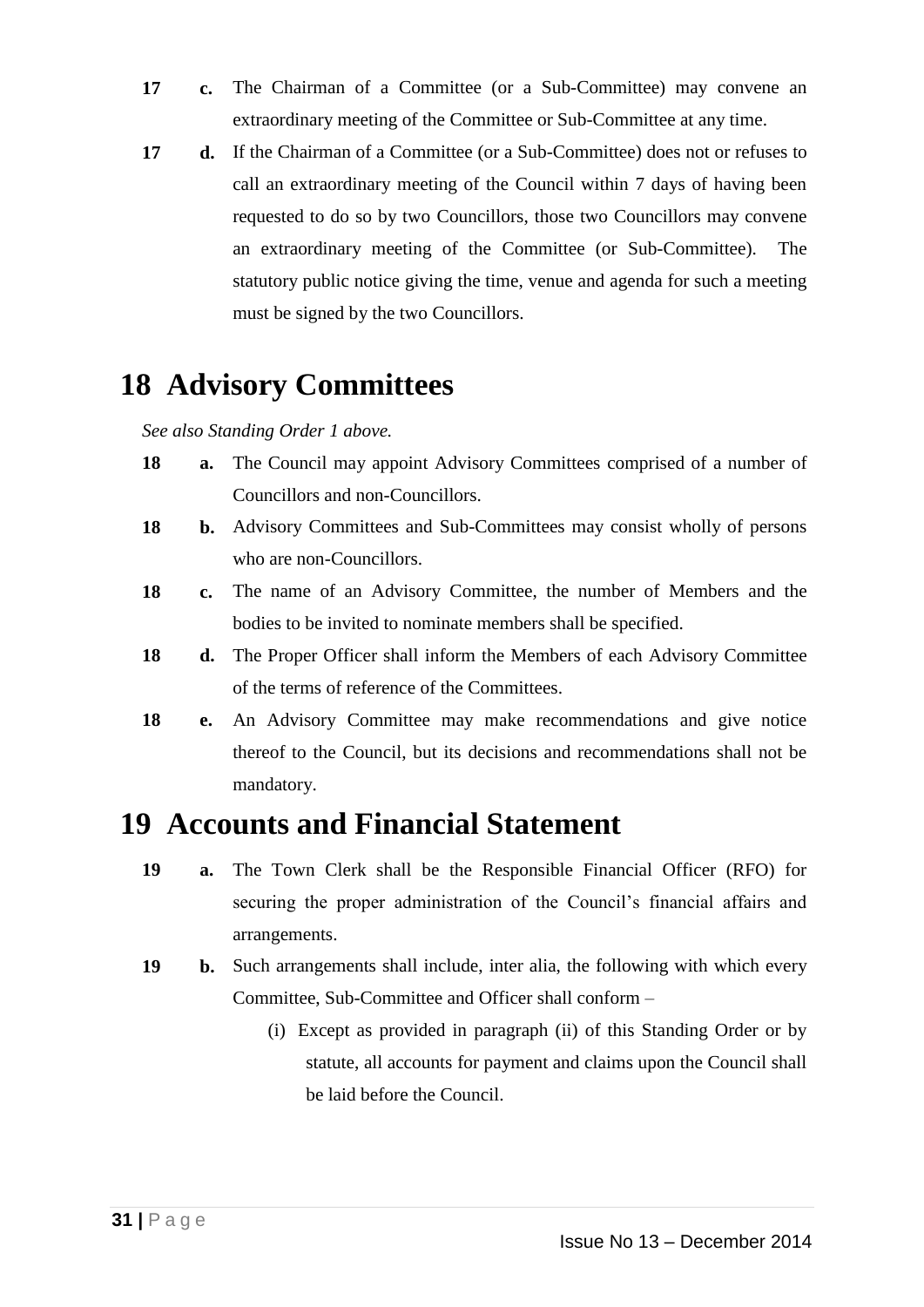- **17 c.** The Chairman of a Committee (or a Sub-Committee) may convene an extraordinary meeting of the Committee or Sub-Committee at any time.
- **17 d.** If the Chairman of a Committee (or a Sub-Committee) does not or refuses to call an extraordinary meeting of the Council within 7 days of having been requested to do so by two Councillors, those two Councillors may convene an extraordinary meeting of the Committee (or Sub-Committee). The statutory public notice giving the time, venue and agenda for such a meeting must be signed by the two Councillors.

# **18 Advisory Committees**

*See also Standing Order 1 above.*

- **18 a.** The Council may appoint Advisory Committees comprised of a number of Councillors and non-Councillors.
- **18 b.** Advisory Committees and Sub-Committees may consist wholly of persons who are non-Councillors.
- **18 c.** The name of an Advisory Committee, the number of Members and the bodies to be invited to nominate members shall be specified.
- **18 d.** The Proper Officer shall inform the Members of each Advisory Committee of the terms of reference of the Committees.
- **18 e.** An Advisory Committee may make recommendations and give notice thereof to the Council, but its decisions and recommendations shall not be mandatory.

# **19 Accounts and Financial Statement**

- **19 a.** The Town Clerk shall be the Responsible Financial Officer (RFO) for securing the proper administration of the Council's financial affairs and arrangements.
- **19 b.** Such arrangements shall include, inter alia, the following with which every Committee, Sub-Committee and Officer shall conform –
	- (i) Except as provided in paragraph (ii) of this Standing Order or by statute, all accounts for payment and claims upon the Council shall be laid before the Council.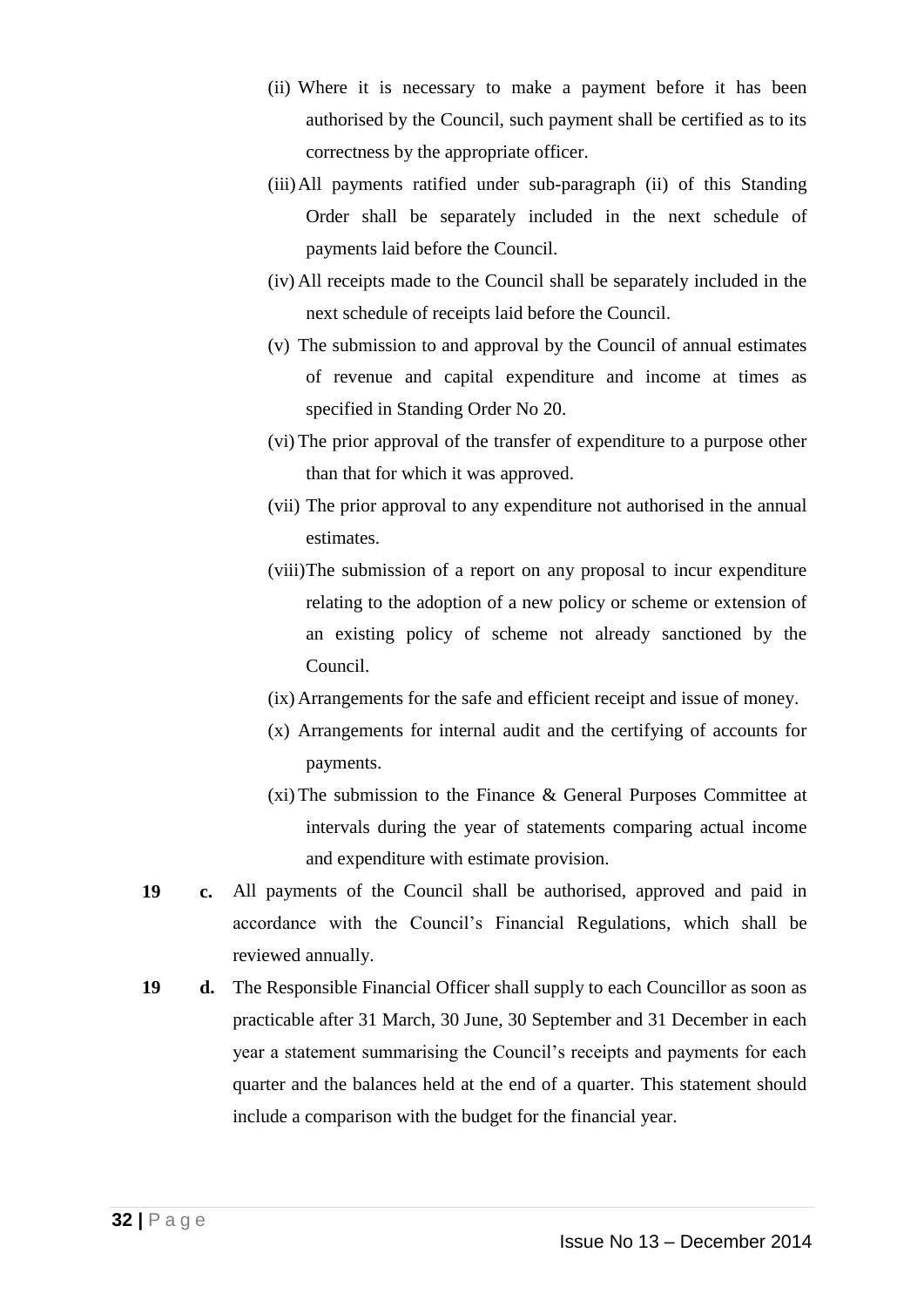- (ii) Where it is necessary to make a payment before it has been authorised by the Council, such payment shall be certified as to its correctness by the appropriate officer.
- (iii)All payments ratified under sub-paragraph (ii) of this Standing Order shall be separately included in the next schedule of payments laid before the Council.
- (iv) All receipts made to the Council shall be separately included in the next schedule of receipts laid before the Council.
- (v) The submission to and approval by the Council of annual estimates of revenue and capital expenditure and income at times as specified in Standing Order No 20.
- (vi) The prior approval of the transfer of expenditure to a purpose other than that for which it was approved.
- (vii) The prior approval to any expenditure not authorised in the annual estimates.
- (viii)The submission of a report on any proposal to incur expenditure relating to the adoption of a new policy or scheme or extension of an existing policy of scheme not already sanctioned by the Council.
- (ix) Arrangements for the safe and efficient receipt and issue of money.
- (x) Arrangements for internal audit and the certifying of accounts for payments.
- (xi) The submission to the Finance & General Purposes Committee at intervals during the year of statements comparing actual income and expenditure with estimate provision.
- **19 c.** All payments of the Council shall be authorised, approved and paid in accordance with the Council's Financial Regulations, which shall be reviewed annually.
- **19 d.** The Responsible Financial Officer shall supply to each Councillor as soon as practicable after 31 March, 30 June, 30 September and 31 December in each year a statement summarising the Council's receipts and payments for each quarter and the balances held at the end of a quarter. This statement should include a comparison with the budget for the financial year.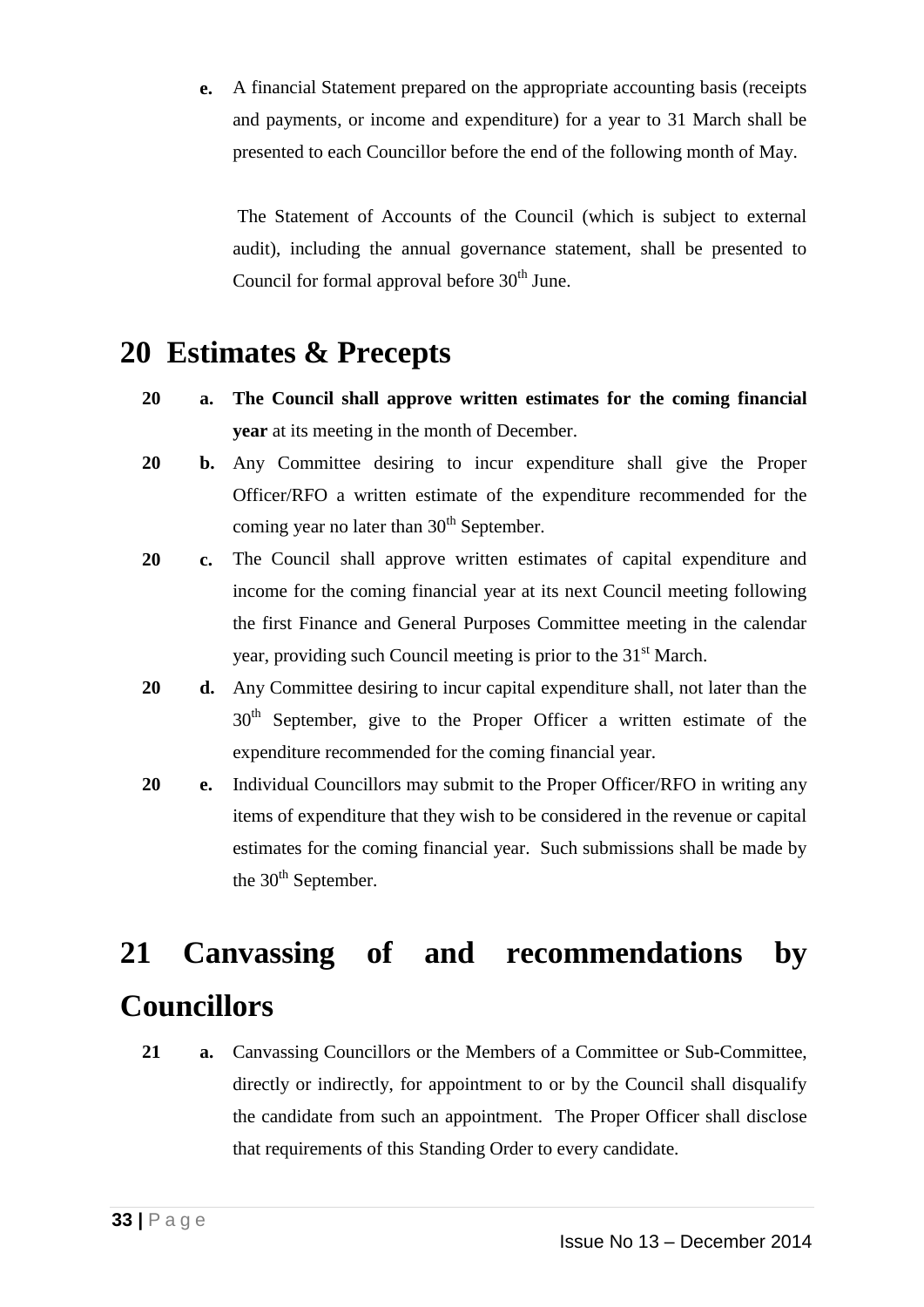**e.** A financial Statement prepared on the appropriate accounting basis (receipts and payments, or income and expenditure) for a year to 31 March shall be presented to each Councillor before the end of the following month of May.

The Statement of Accounts of the Council (which is subject to external audit), including the annual governance statement, shall be presented to Council for formal approval before  $30<sup>th</sup>$  June.

# **20 Estimates & Precepts**

- **20 a. The Council shall approve written estimates for the coming financial year** at its meeting in the month of December.
- **20 b.** Any Committee desiring to incur expenditure shall give the Proper Officer/RFO a written estimate of the expenditure recommended for the coming year no later than  $30<sup>th</sup>$  September.
- **20 c.** The Council shall approve written estimates of capital expenditure and income for the coming financial year at its next Council meeting following the first Finance and General Purposes Committee meeting in the calendar year, providing such Council meeting is prior to the 31<sup>st</sup> March.
- **20 d.** Any Committee desiring to incur capital expenditure shall, not later than the 30<sup>th</sup> September, give to the Proper Officer a written estimate of the expenditure recommended for the coming financial year.
- **20 e.** Individual Councillors may submit to the Proper Officer/RFO in writing any items of expenditure that they wish to be considered in the revenue or capital estimates for the coming financial year. Such submissions shall be made by the  $30<sup>th</sup>$  September.

# **21 Canvassing of and recommendations by Councillors**

21 **a.** Canvassing Councillors or the Members of a Committee or Sub-Committee, directly or indirectly, for appointment to or by the Council shall disqualify the candidate from such an appointment. The Proper Officer shall disclose that requirements of this Standing Order to every candidate.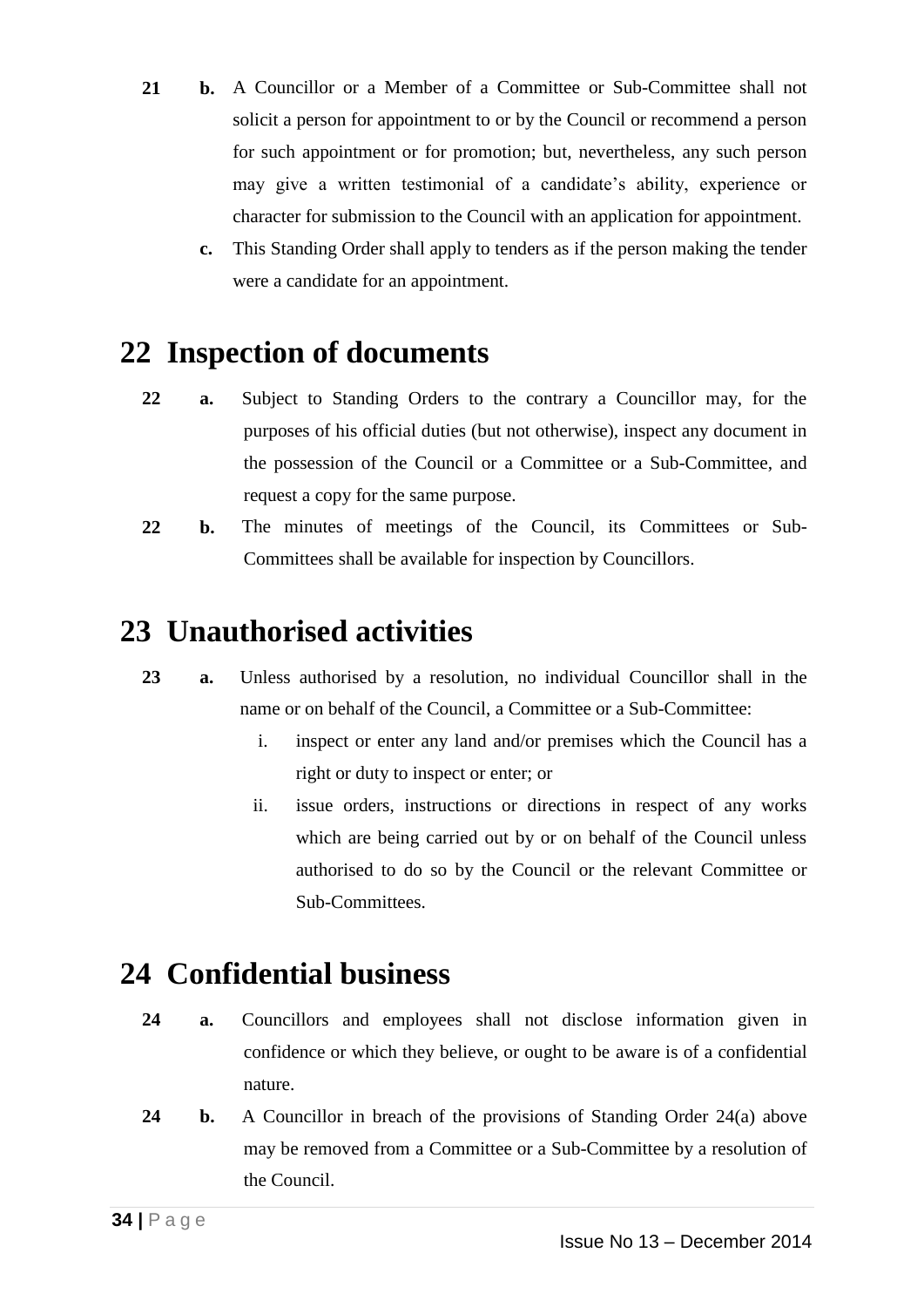- **21 b.** A Councillor or a Member of a Committee or Sub-Committee shall not solicit a person for appointment to or by the Council or recommend a person for such appointment or for promotion; but, nevertheless, any such person may give a written testimonial of a candidate's ability, experience or character for submission to the Council with an application for appointment.
	- **c.** This Standing Order shall apply to tenders as if the person making the tender were a candidate for an appointment.

# **22 Inspection of documents**

- **22 a.** Subject to Standing Orders to the contrary a Councillor may, for the purposes of his official duties (but not otherwise), inspect any document in the possession of the Council or a Committee or a Sub-Committee, and request a copy for the same purpose.
- **22 b.** The minutes of meetings of the Council, its Committees or Sub-Committees shall be available for inspection by Councillors.

# **23 Unauthorised activities**

- **23 a.** Unless authorised by a resolution, no individual Councillor shall in the name or on behalf of the Council, a Committee or a Sub-Committee:
	- i. inspect or enter any land and/or premises which the Council has a right or duty to inspect or enter; or
	- ii. issue orders, instructions or directions in respect of any works which are being carried out by or on behalf of the Council unless authorised to do so by the Council or the relevant Committee or Sub-Committees.

# **24 Confidential business**

- **24 a.** Councillors and employees shall not disclose information given in confidence or which they believe, or ought to be aware is of a confidential nature.
- **24 b.** A Councillor in breach of the provisions of Standing Order 24(a) above may be removed from a Committee or a Sub-Committee by a resolution of the Council.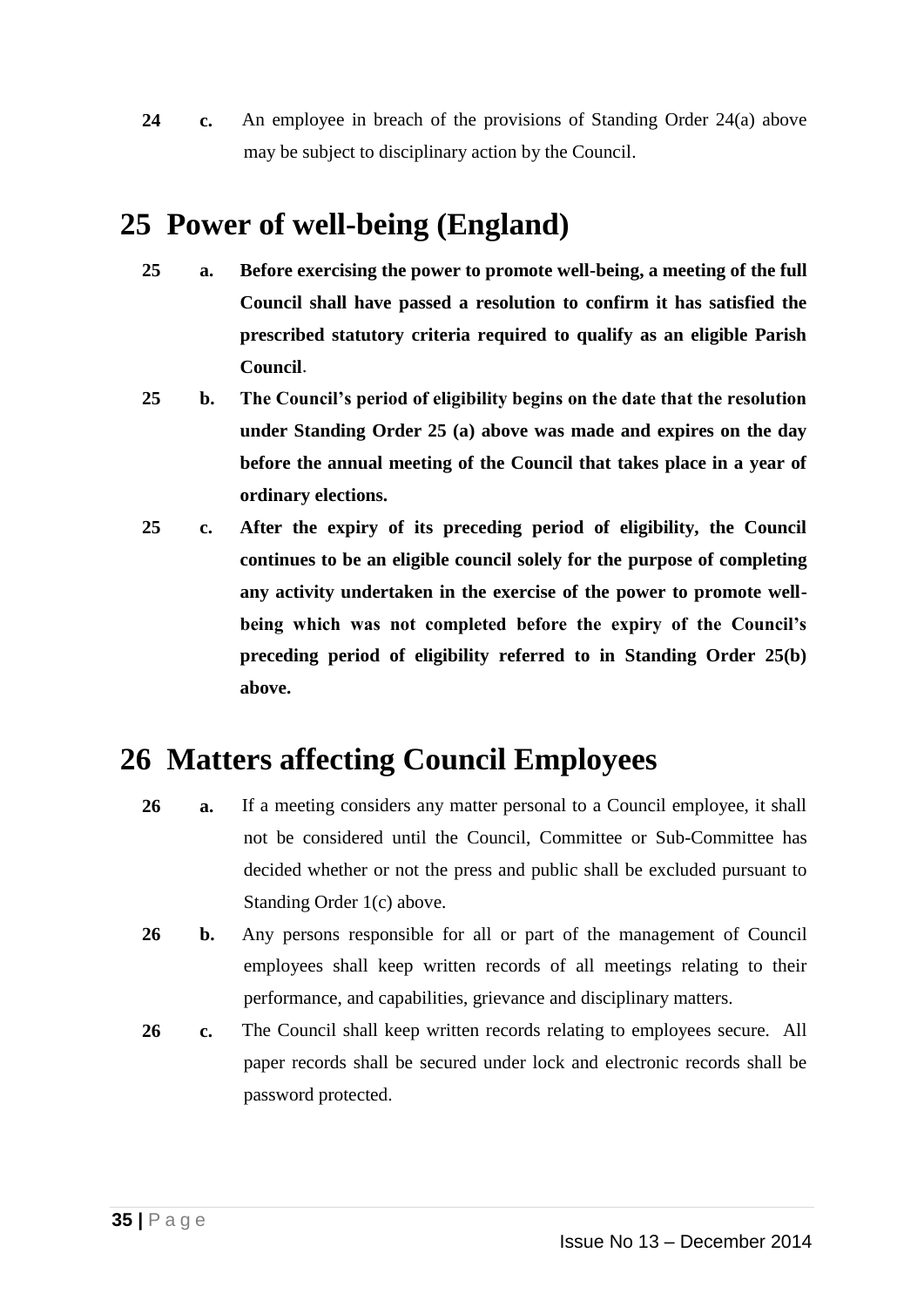**24 c.** An employee in breach of the provisions of Standing Order 24(a) above may be subject to disciplinary action by the Council.

# **25 Power of well-being (England)**

- **25 a. Before exercising the power to promote well-being, a meeting of the full Council shall have passed a resolution to confirm it has satisfied the prescribed statutory criteria required to qualify as an eligible Parish Council**.
- **25 b. The Council's period of eligibility begins on the date that the resolution under Standing Order 25 (a) above was made and expires on the day before the annual meeting of the Council that takes place in a year of ordinary elections.**
- **25 c. After the expiry of its preceding period of eligibility, the Council continues to be an eligible council solely for the purpose of completing any activity undertaken in the exercise of the power to promote wellbeing which was not completed before the expiry of the Council's preceding period of eligibility referred to in Standing Order 25(b) above.**

# **26 Matters affecting Council Employees**

- **26 a.** If a meeting considers any matter personal to a Council employee, it shall not be considered until the Council, Committee or Sub-Committee has decided whether or not the press and public shall be excluded pursuant to Standing Order 1(c) above.
- **26 b.** Any persons responsible for all or part of the management of Council employees shall keep written records of all meetings relating to their performance, and capabilities, grievance and disciplinary matters.
- **26 c.** The Council shall keep written records relating to employees secure. All paper records shall be secured under lock and electronic records shall be password protected.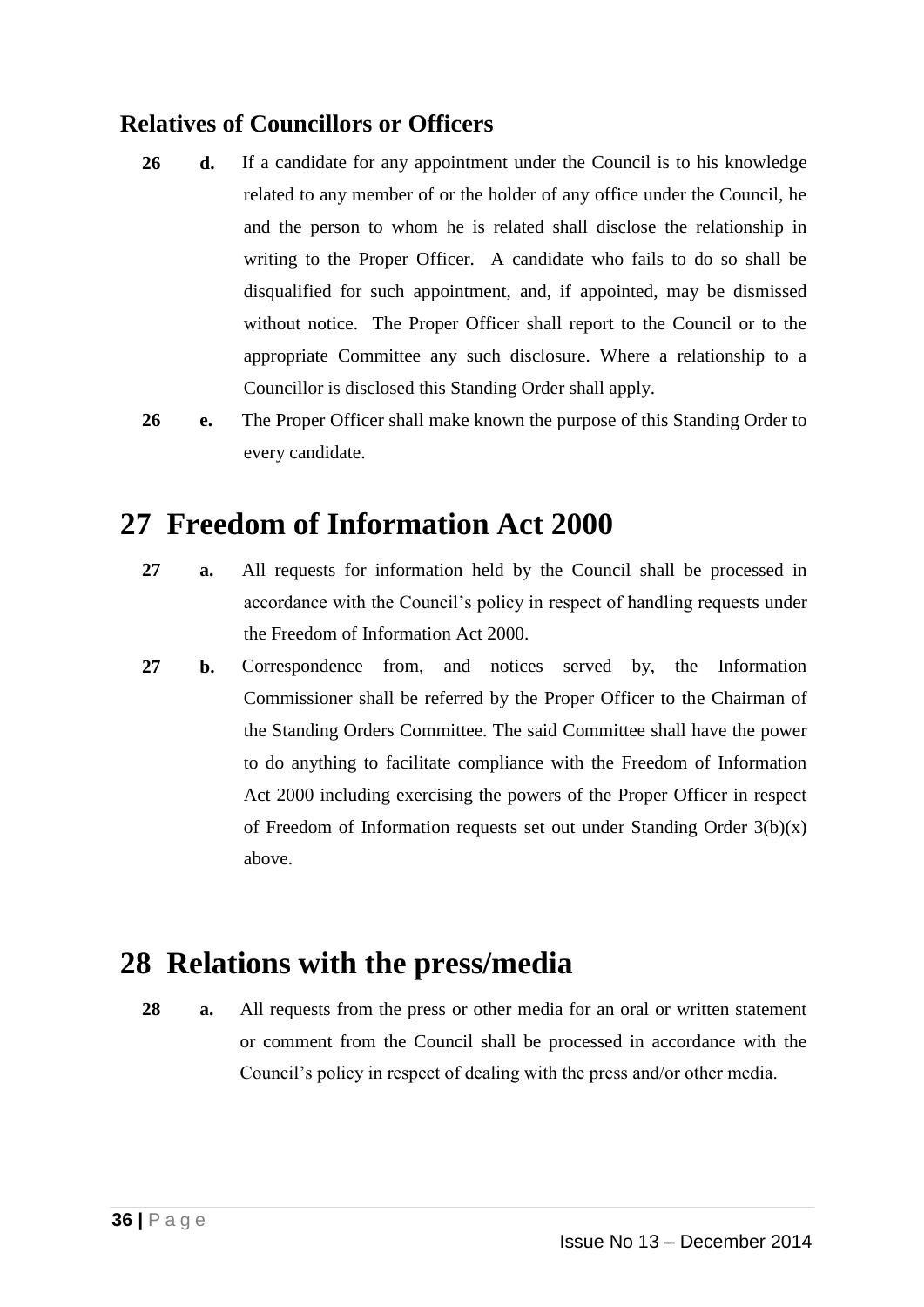### **Relatives of Councillors or Officers**

**26 d.** If a candidate for any appointment under the Council is to his knowledge related to any member of or the holder of any office under the Council, he and the person to whom he is related shall disclose the relationship in writing to the Proper Officer. A candidate who fails to do so shall be disqualified for such appointment, and, if appointed, may be dismissed without notice. The Proper Officer shall report to the Council or to the appropriate Committee any such disclosure. Where a relationship to a Councillor is disclosed this Standing Order shall apply.

**26 e.** The Proper Officer shall make known the purpose of this Standing Order to every candidate.

# **27 Freedom of Information Act 2000**

- **27 a.** All requests for information held by the Council shall be processed in accordance with the Council's policy in respect of handling requests under the Freedom of Information Act 2000.
- **27 b.** Correspondence from, and notices served by, the Information Commissioner shall be referred by the Proper Officer to the Chairman of the Standing Orders Committee. The said Committee shall have the power to do anything to facilitate compliance with the Freedom of Information Act 2000 including exercising the powers of the Proper Officer in respect of Freedom of Information requests set out under Standing Order  $3(b)(x)$ above.

# **28 Relations with the press/media**

**28 a.** All requests from the press or other media for an oral or written statement or comment from the Council shall be processed in accordance with the Council's policy in respect of dealing with the press and/or other media.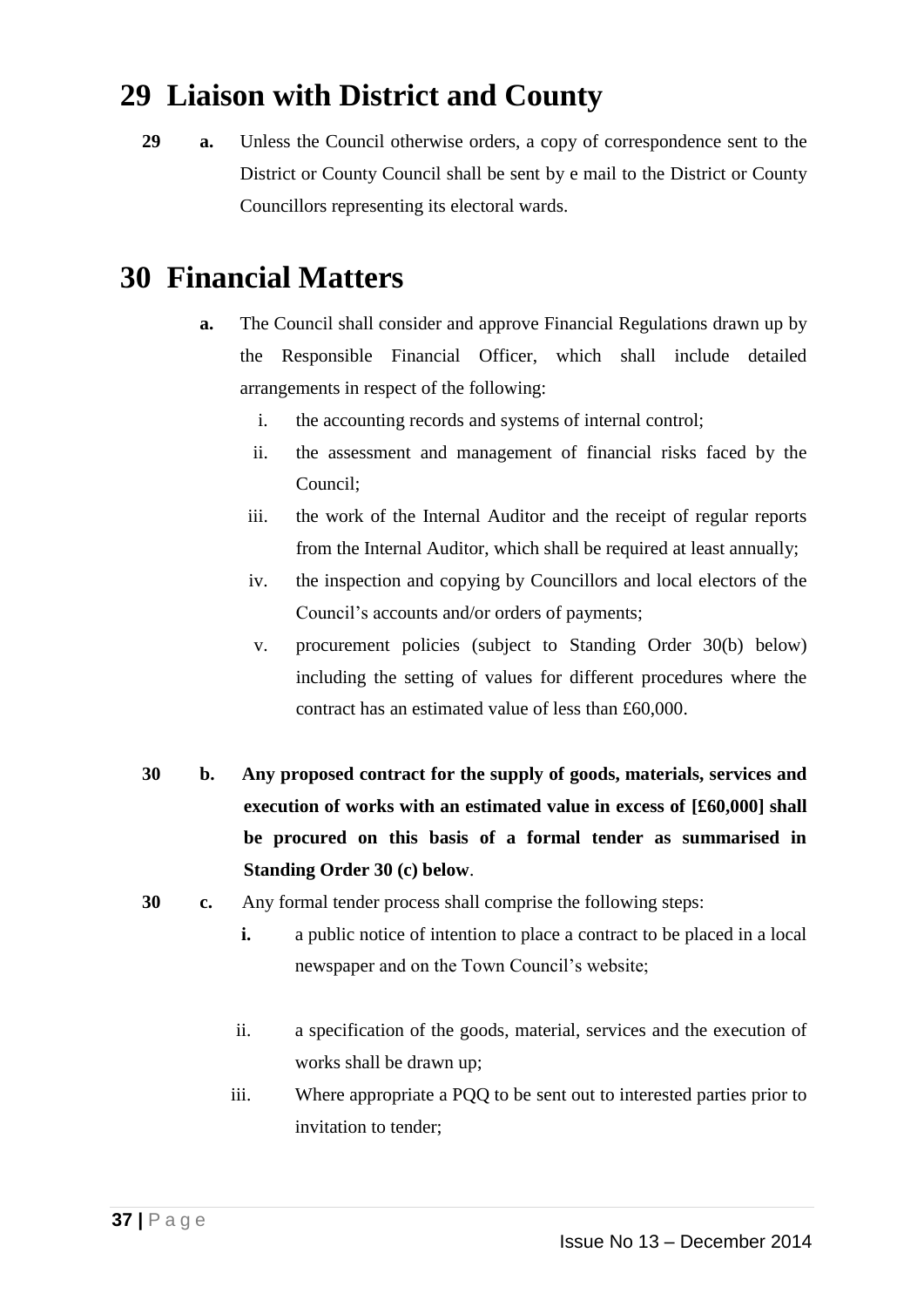# **29 Liaison with District and County**

**29 a.** Unless the Council otherwise orders, a copy of correspondence sent to the District or County Council shall be sent by e mail to the District or County Councillors representing its electoral wards.

# **30 Financial Matters**

- **a.** The Council shall consider and approve Financial Regulations drawn up by the Responsible Financial Officer, which shall include detailed arrangements in respect of the following:
	- i. the accounting records and systems of internal control;
	- ii. the assessment and management of financial risks faced by the Council;
	- iii. the work of the Internal Auditor and the receipt of regular reports from the Internal Auditor, which shall be required at least annually;
	- iv. the inspection and copying by Councillors and local electors of the Council's accounts and/or orders of payments;
	- v. procurement policies (subject to Standing Order 30(b) below) including the setting of values for different procedures where the contract has an estimated value of less than £60,000.
- **30 b. Any proposed contract for the supply of goods, materials, services and execution of works with an estimated value in excess of [£60,000] shall be procured on this basis of a formal tender as summarised in Standing Order 30 (c) below**.
- **30 c.** Any formal tender process shall comprise the following steps:
	- **i.** a public notice of intention to place a contract to be placed in a local newspaper and on the Town Council's website;
	- ii. a specification of the goods, material, services and the execution of works shall be drawn up;
	- iii. Where appropriate a PQQ to be sent out to interested parties prior to invitation to tender;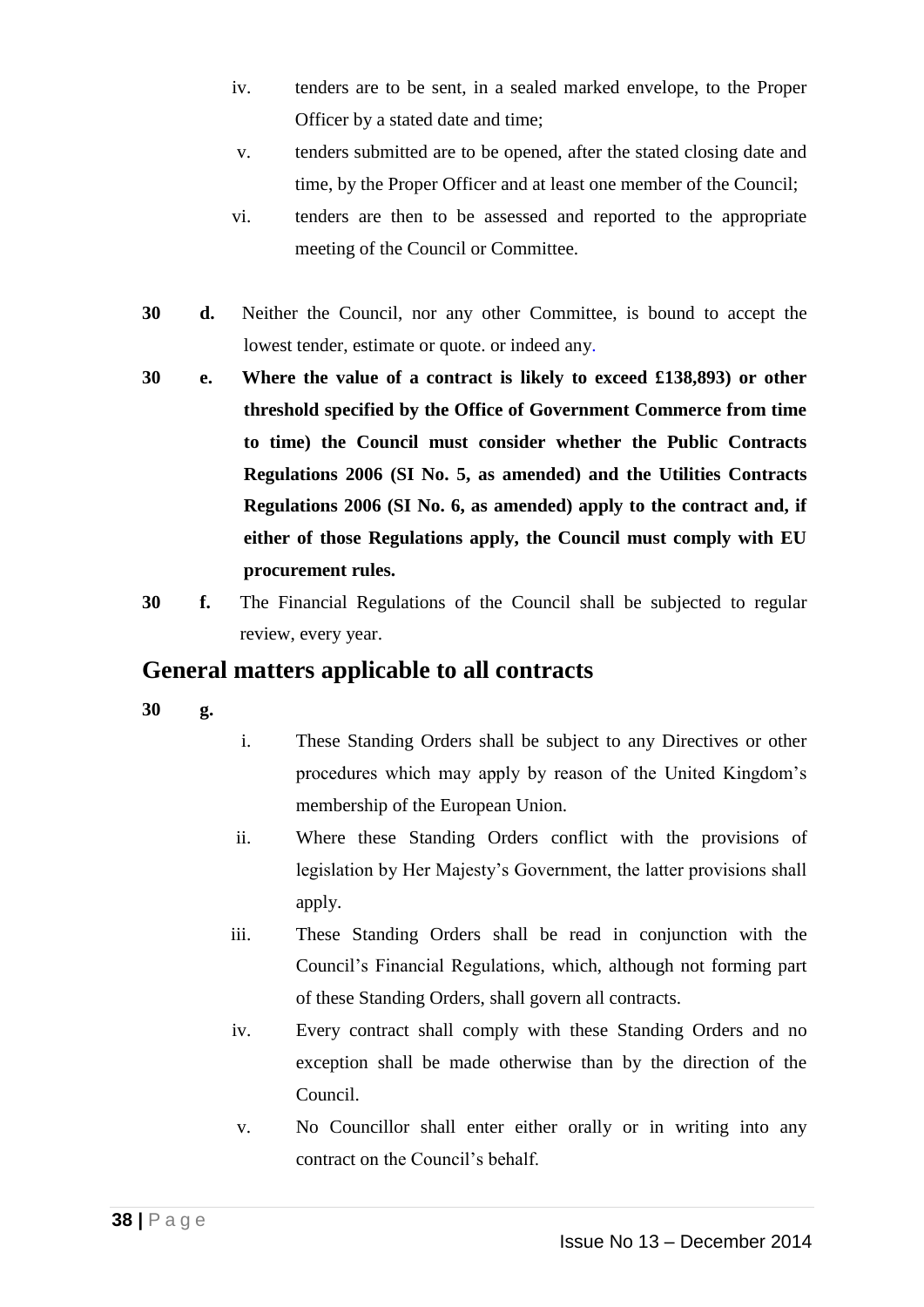- iv. tenders are to be sent, in a sealed marked envelope, to the Proper Officer by a stated date and time;
- v. tenders submitted are to be opened, after the stated closing date and time, by the Proper Officer and at least one member of the Council;
- vi. tenders are then to be assessed and reported to the appropriate meeting of the Council or Committee.
- **30 d.** Neither the Council, nor any other Committee, is bound to accept the lowest tender, estimate or quote. or indeed any.
- **30 e. Where the value of a contract is likely to exceed £138,893) or other threshold specified by the Office of Government Commerce from time to time) the Council must consider whether the Public Contracts Regulations 2006 (SI No. 5, as amended) and the Utilities Contracts Regulations 2006 (SI No. 6, as amended) apply to the contract and, if either of those Regulations apply, the Council must comply with EU procurement rules.**
- **30 f.** The Financial Regulations of the Council shall be subjected to regular review, every year.

### **General matters applicable to all contracts**

**30 g.**

- i. These Standing Orders shall be subject to any Directives or other procedures which may apply by reason of the United Kingdom's membership of the European Union.
- ii. Where these Standing Orders conflict with the provisions of legislation by Her Majesty's Government, the latter provisions shall apply.
- iii. These Standing Orders shall be read in conjunction with the Council's Financial Regulations, which, although not forming part of these Standing Orders, shall govern all contracts.
- iv. Every contract shall comply with these Standing Orders and no exception shall be made otherwise than by the direction of the Council.
- v. No Councillor shall enter either orally or in writing into any contract on the Council's behalf.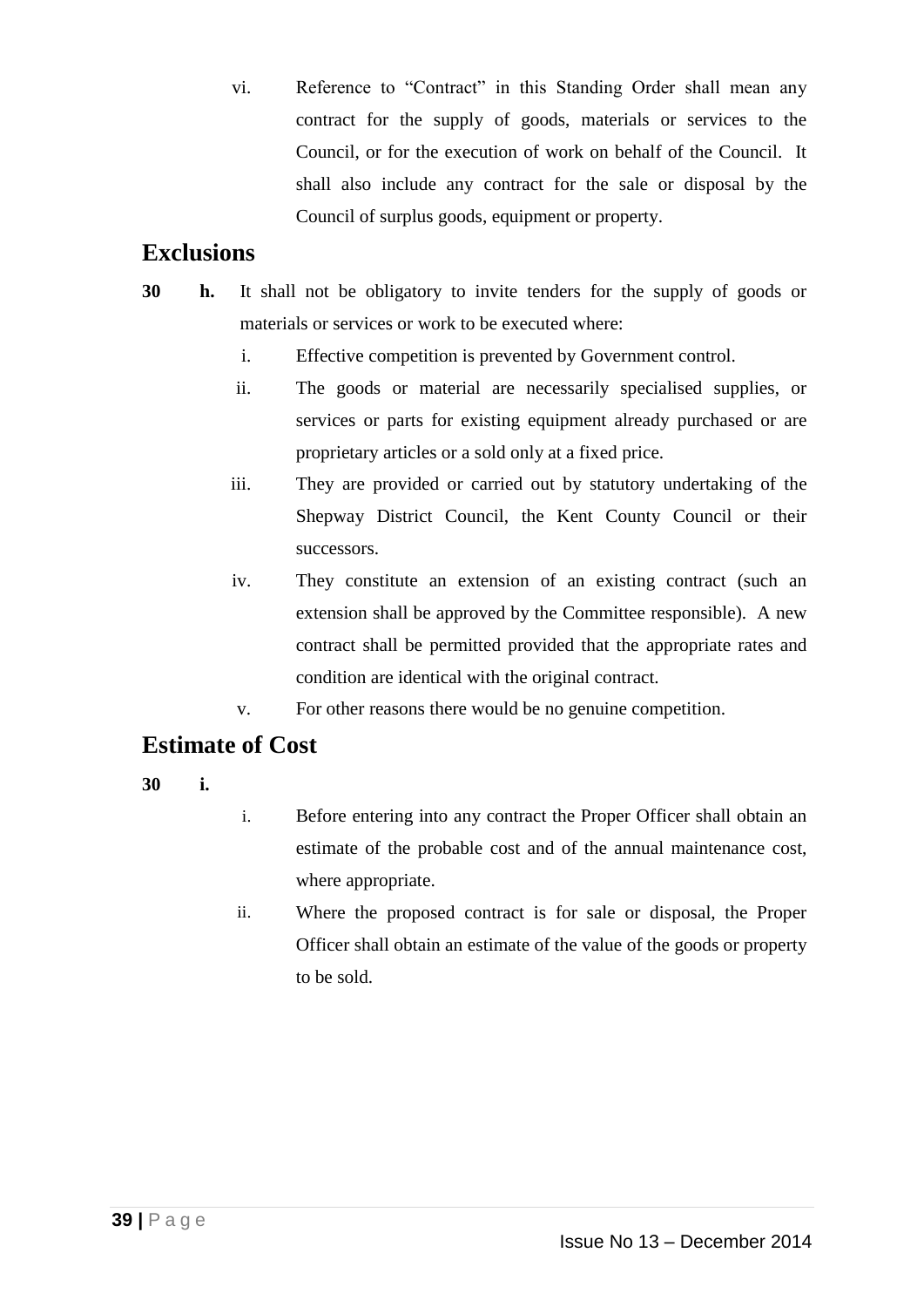vi. Reference to "Contract" in this Standing Order shall mean any contract for the supply of goods, materials or services to the Council, or for the execution of work on behalf of the Council. It shall also include any contract for the sale or disposal by the Council of surplus goods, equipment or property.

### **Exclusions**

- **30 h.** It shall not be obligatory to invite tenders for the supply of goods or materials or services or work to be executed where:
	- i. Effective competition is prevented by Government control.
	- ii. The goods or material are necessarily specialised supplies, or services or parts for existing equipment already purchased or are proprietary articles or a sold only at a fixed price.
	- iii. They are provided or carried out by statutory undertaking of the Shepway District Council, the Kent County Council or their successors.
	- iv. They constitute an extension of an existing contract (such an extension shall be approved by the Committee responsible). A new contract shall be permitted provided that the appropriate rates and condition are identical with the original contract.
	- v. For other reasons there would be no genuine competition.

#### **Estimate of Cost**

- **30 i.**
- i. Before entering into any contract the Proper Officer shall obtain an estimate of the probable cost and of the annual maintenance cost, where appropriate.
- ii. Where the proposed contract is for sale or disposal, the Proper Officer shall obtain an estimate of the value of the goods or property to be sold.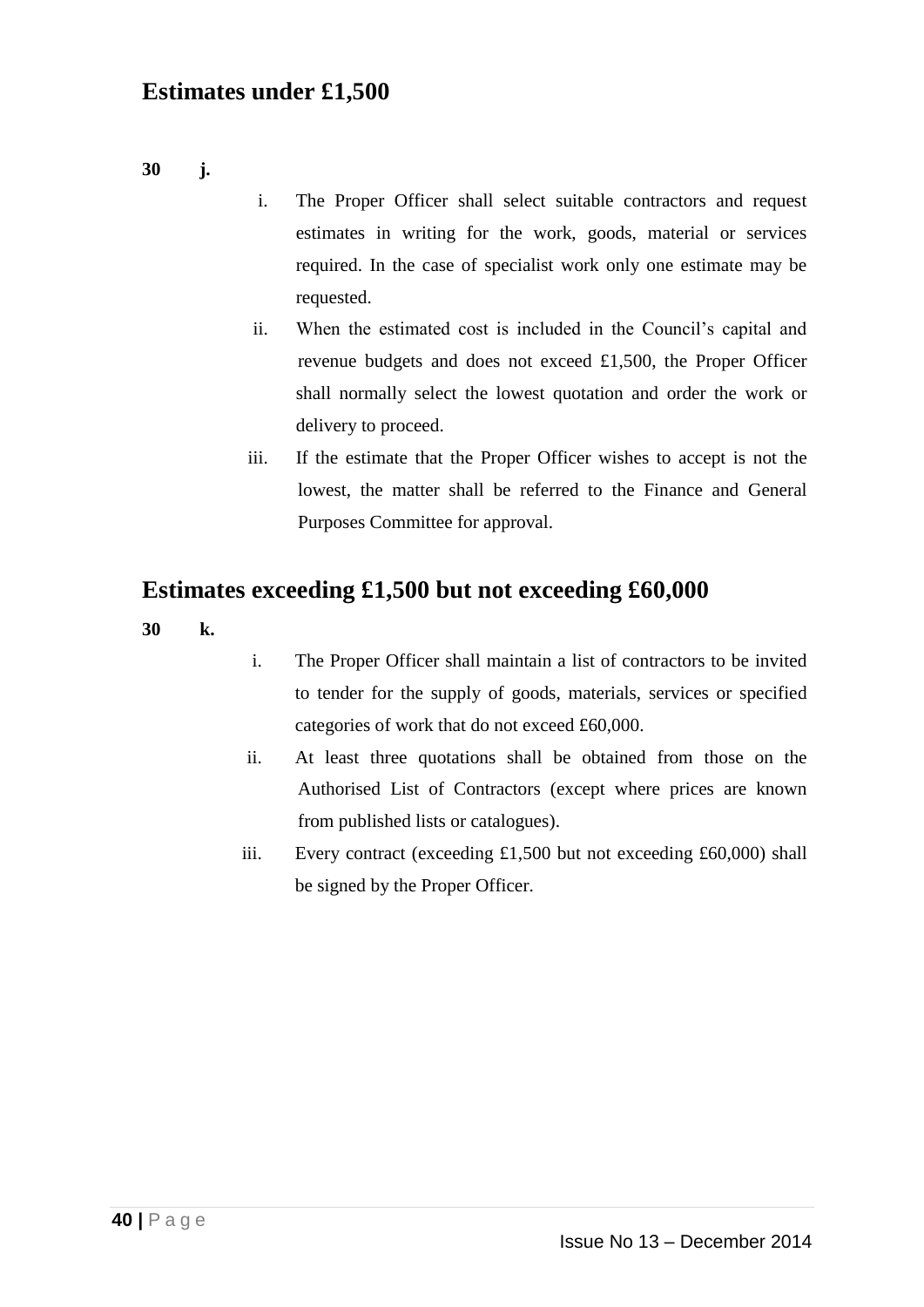### **Estimates under £1,500**

**30 j.**

- i. The Proper Officer shall select suitable contractors and request estimates in writing for the work, goods, material or services required. In the case of specialist work only one estimate may be requested.
- ii. When the estimated cost is included in the Council's capital and revenue budgets and does not exceed £1,500, the Proper Officer shall normally select the lowest quotation and order the work or delivery to proceed.
- iii. If the estimate that the Proper Officer wishes to accept is not the lowest, the matter shall be referred to the Finance and General Purposes Committee for approval.

#### **Estimates exceeding £1,500 but not exceeding £60,000**

- **30 k.**
- i. The Proper Officer shall maintain a list of contractors to be invited to tender for the supply of goods, materials, services or specified categories of work that do not exceed £60,000.
- ii. At least three quotations shall be obtained from those on the Authorised List of Contractors (except where prices are known from published lists or catalogues).
- iii. Every contract (exceeding £1,500 but not exceeding £60,000) shall be signed by the Proper Officer.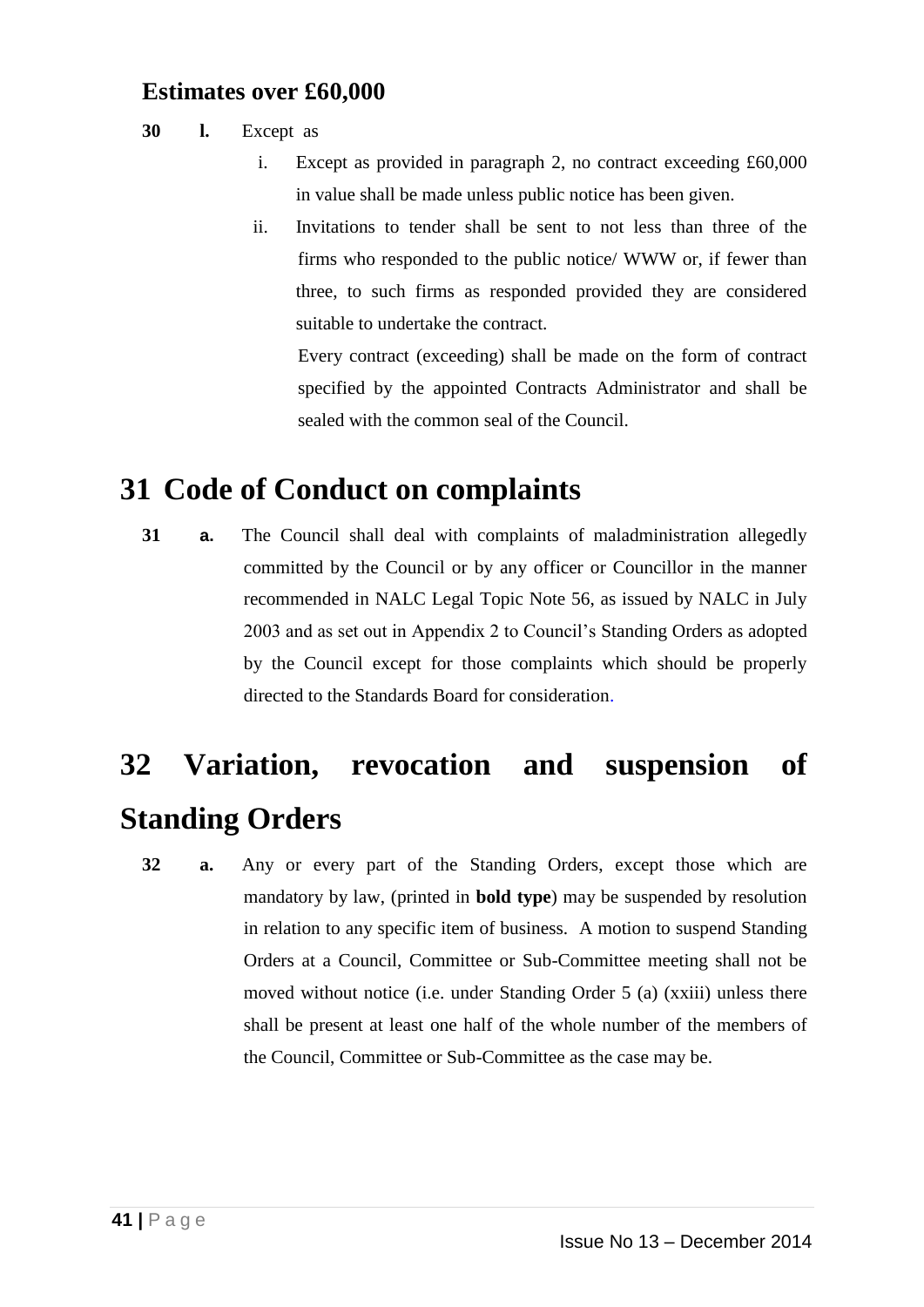#### **Estimates over £60,000**

#### **30 l.** Except as

- i. Except as provided in paragraph 2, no contract exceeding £60,000 in value shall be made unless public notice has been given.
- ii. Invitations to tender shall be sent to not less than three of the firms who responded to the public notice/ WWW or, if fewer than three, to such firms as responded provided they are considered suitable to undertake the contract.

Every contract (exceeding) shall be made on the form of contract specified by the appointed Contracts Administrator and shall be sealed with the common seal of the Council.

# **31 Code of Conduct on complaints**

**31 a.** The Council shall deal with complaints of maladministration allegedly committed by the Council or by any officer or Councillor in the manner recommended in NALC Legal Topic Note 56, as issued by NALC in July 2003 and as set out in Appendix 2 to Council's Standing Orders as adopted by the Council except for those complaints which should be properly directed to the Standards Board for consideration.

# **32 Variation, revocation and suspension of Standing Orders**

**32 a.** Any or every part of the Standing Orders, except those which are mandatory by law, (printed in **bold type**) may be suspended by resolution in relation to any specific item of business. A motion to suspend Standing Orders at a Council, Committee or Sub-Committee meeting shall not be moved without notice (i.e. under Standing Order 5 (a) (xxiii) unless there shall be present at least one half of the whole number of the members of the Council, Committee or Sub-Committee as the case may be.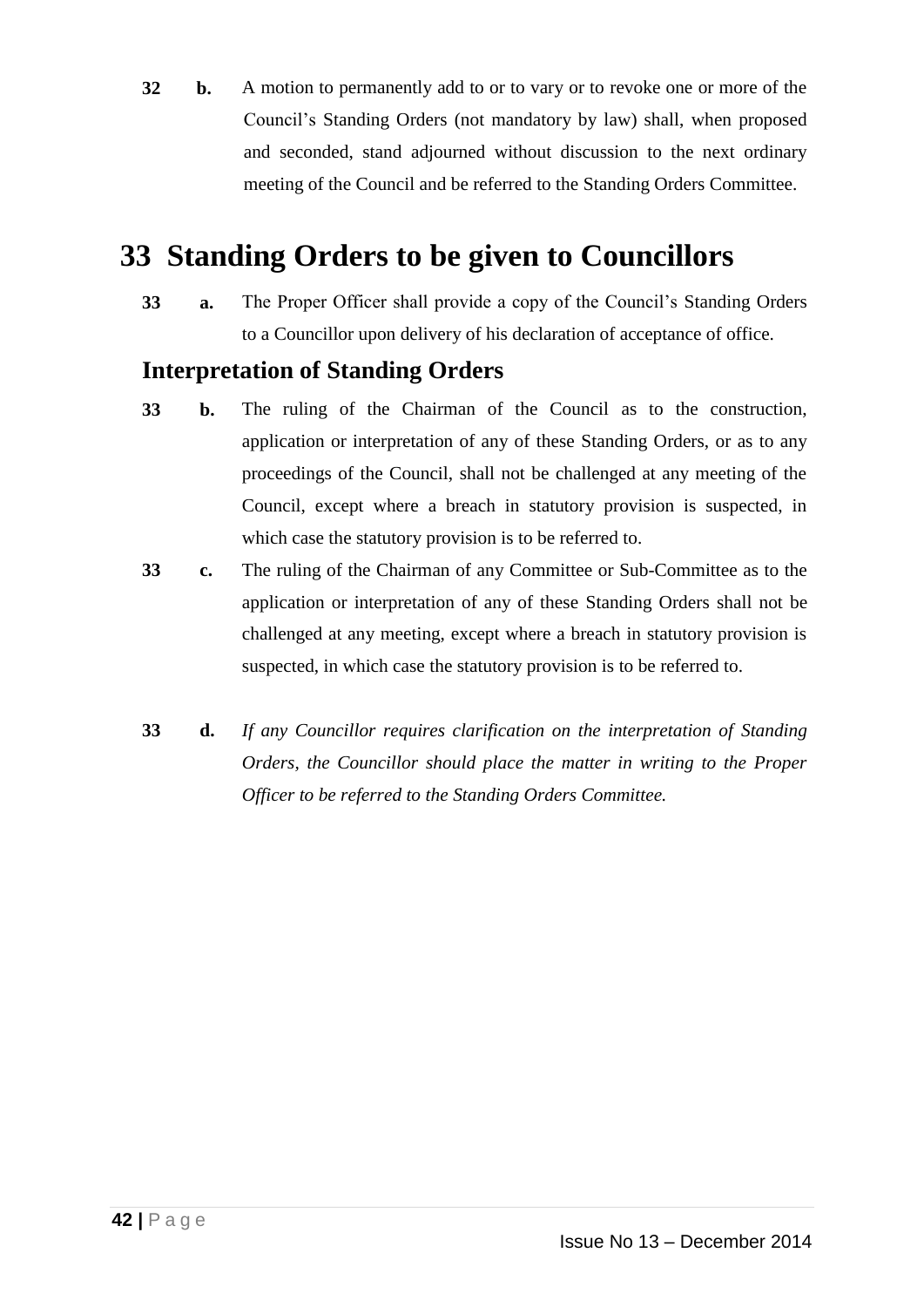**32 b.** A motion to permanently add to or to vary or to revoke one or more of the Council's Standing Orders (not mandatory by law) shall, when proposed and seconded, stand adjourned without discussion to the next ordinary meeting of the Council and be referred to the Standing Orders Committee.

# **33 Standing Orders to be given to Councillors**

**33 a.** The Proper Officer shall provide a copy of the Council's Standing Orders to a Councillor upon delivery of his declaration of acceptance of office.

### **Interpretation of Standing Orders**

- **33 b.** The ruling of the Chairman of the Council as to the construction, application or interpretation of any of these Standing Orders, or as to any proceedings of the Council, shall not be challenged at any meeting of the Council, except where a breach in statutory provision is suspected, in which case the statutory provision is to be referred to.
- **33 c.** The ruling of the Chairman of any Committee or Sub-Committee as to the application or interpretation of any of these Standing Orders shall not be challenged at any meeting, except where a breach in statutory provision is suspected, in which case the statutory provision is to be referred to.
- **33 d.** *If any Councillor requires clarification on the interpretation of Standing Orders, the Councillor should place the matter in writing to the Proper Officer to be referred to the Standing Orders Committee.*